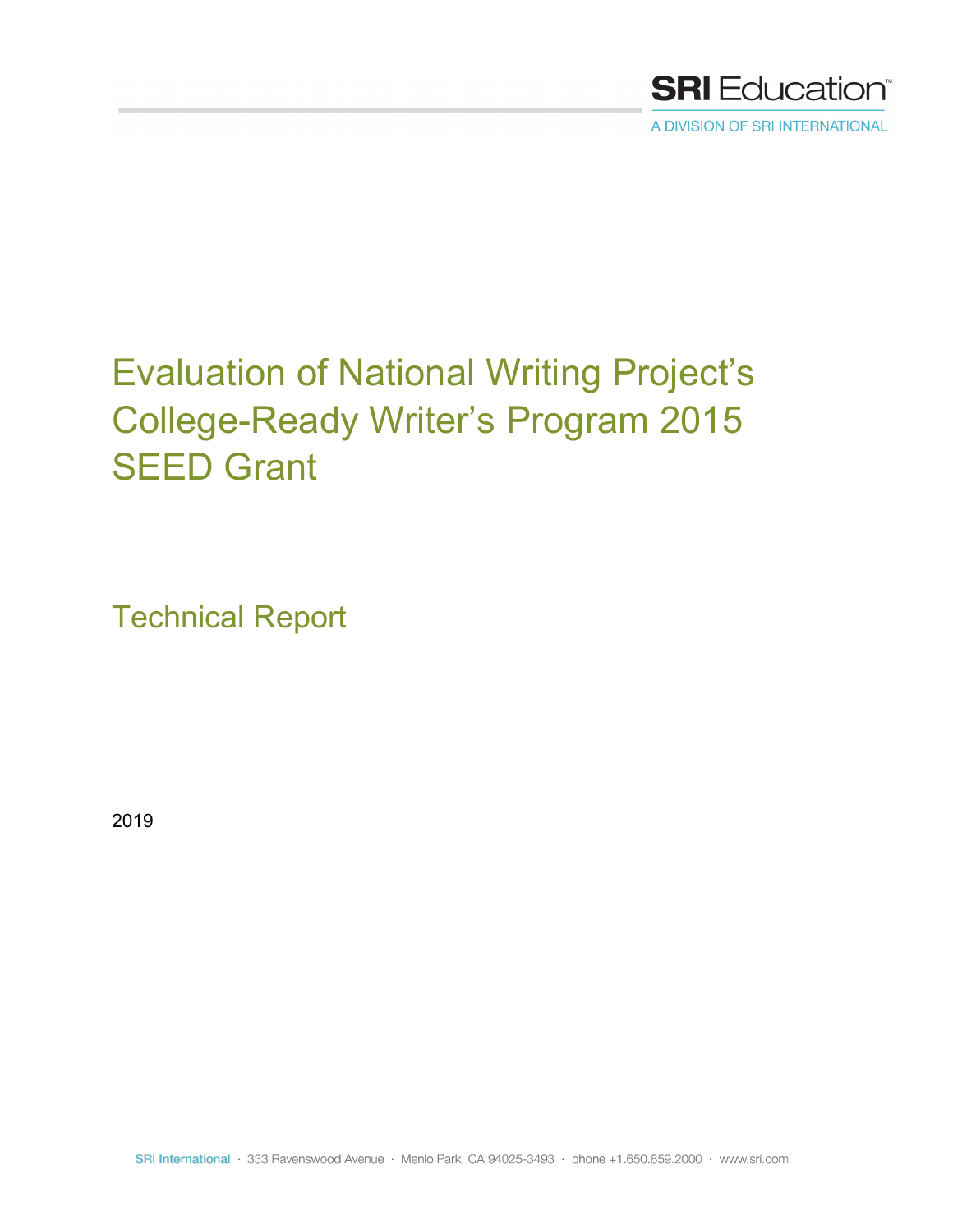

A DIVISION OF SRI INTERNATIONAL

# Evaluation of National Writing Project's College-Ready Writer's Program 2015 SEED Grant

Technical Report

2019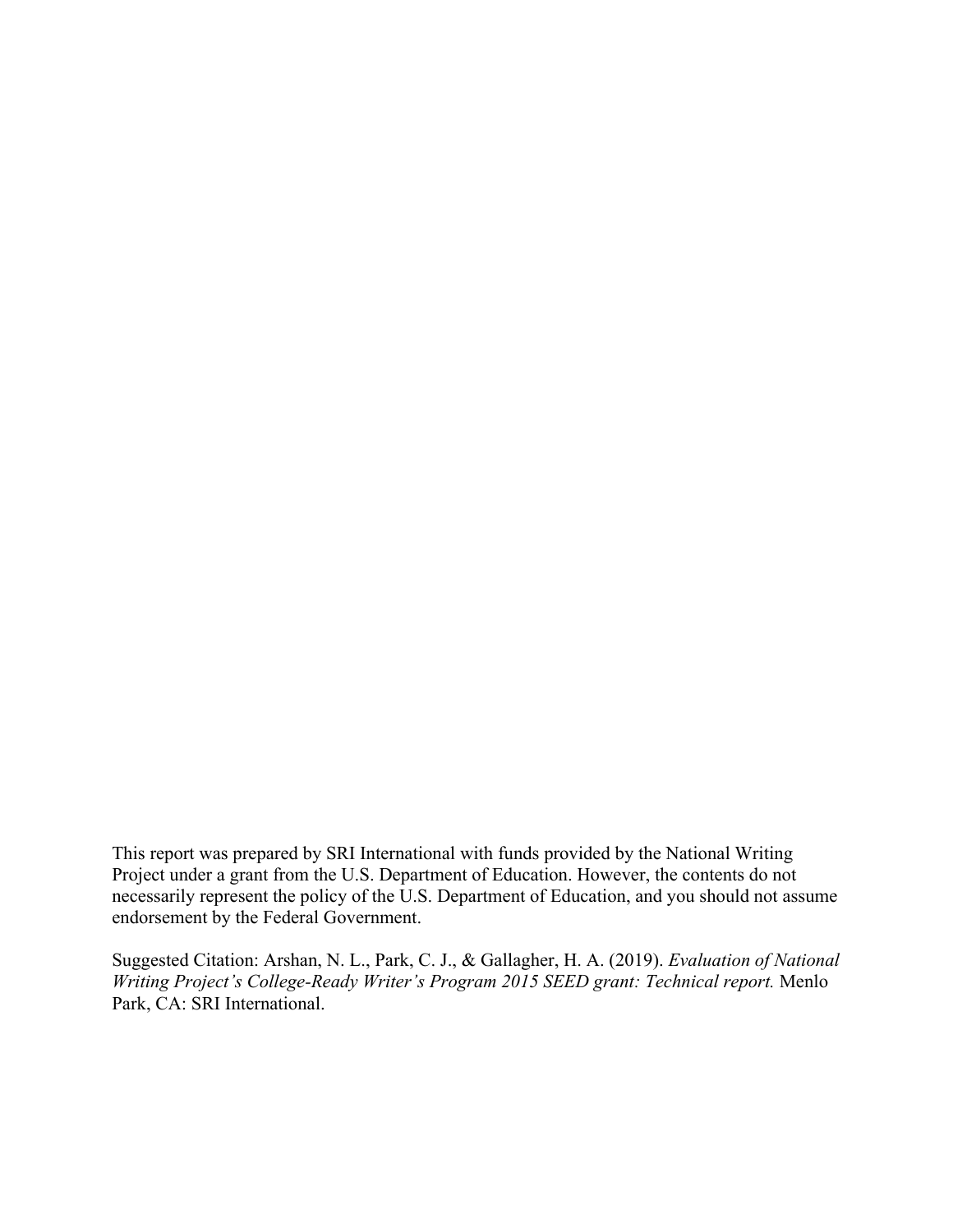This report was prepared by SRI International with funds provided by the National Writing Project under a grant from the U.S. Department of Education. However, the contents do not necessarily represent the policy of the U.S. Department of Education, and you should not assume endorsement by the Federal Government.

Suggested Citation: Arshan, N. L., Park, C. J., & Gallagher, H. A. (2019). *Evaluation of National Writing Project's College-Ready Writer's Program 2015 SEED grant: Technical report.* Menlo Park, CA: SRI International.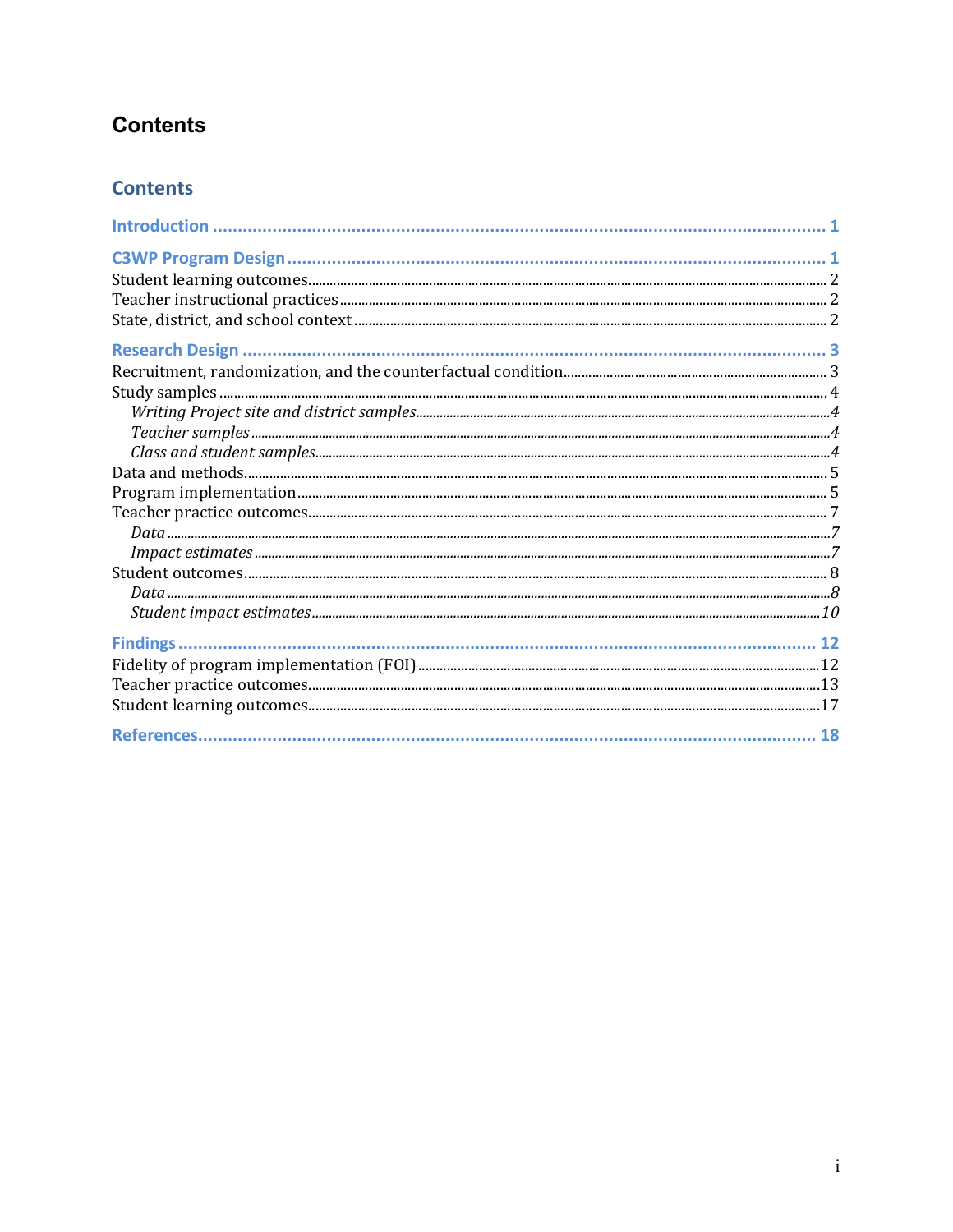# **Contents**

## **Contents**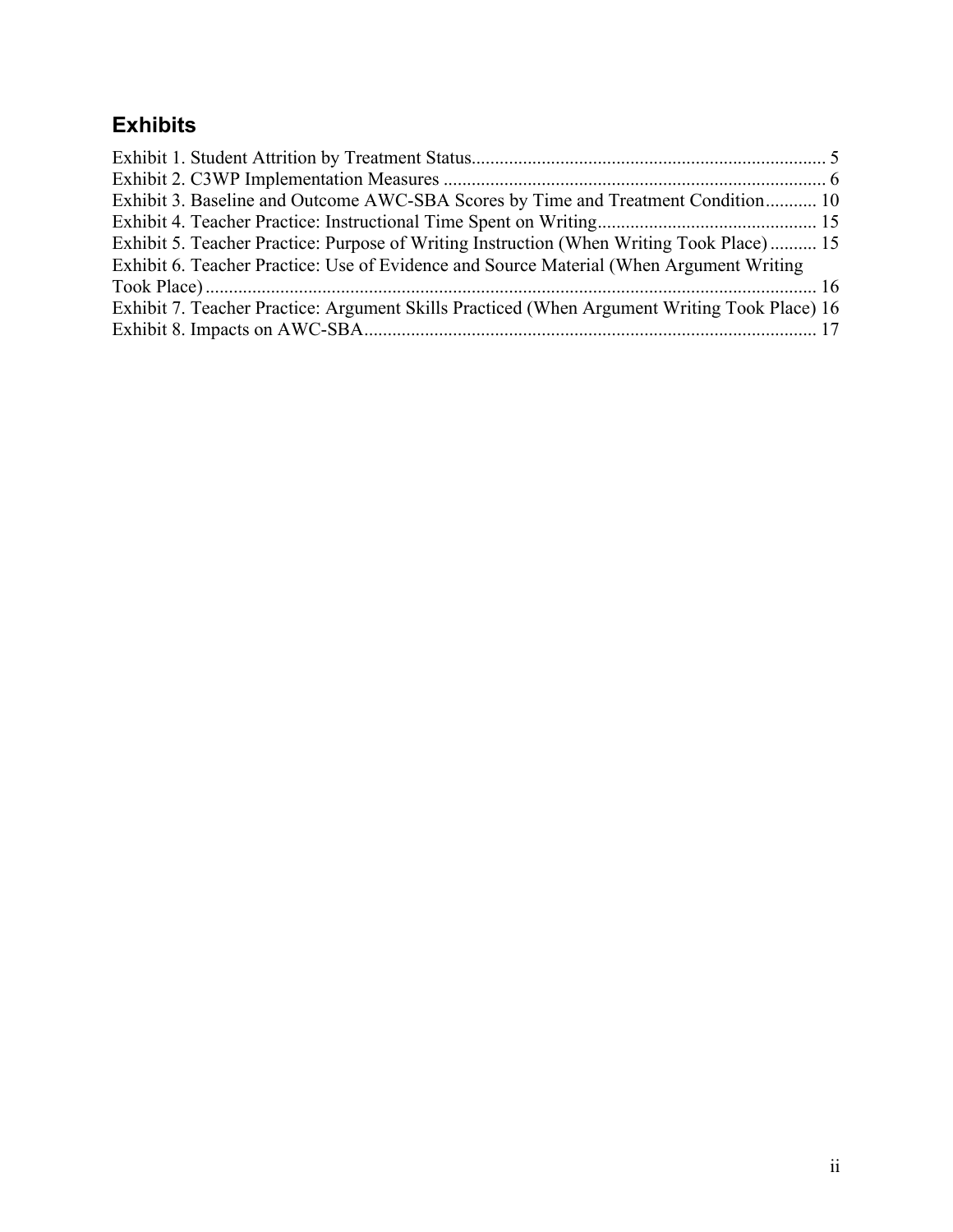## **Exhibits**

| Exhibit 3. Baseline and Outcome AWC-SBA Scores by Time and Treatment Condition 10            |  |
|----------------------------------------------------------------------------------------------|--|
|                                                                                              |  |
| Exhibit 5. Teacher Practice: Purpose of Writing Instruction (When Writing Took Place) 15     |  |
| Exhibit 6. Teacher Practice: Use of Evidence and Source Material (When Argument Writing      |  |
|                                                                                              |  |
| Exhibit 7. Teacher Practice: Argument Skills Practiced (When Argument Writing Took Place) 16 |  |
|                                                                                              |  |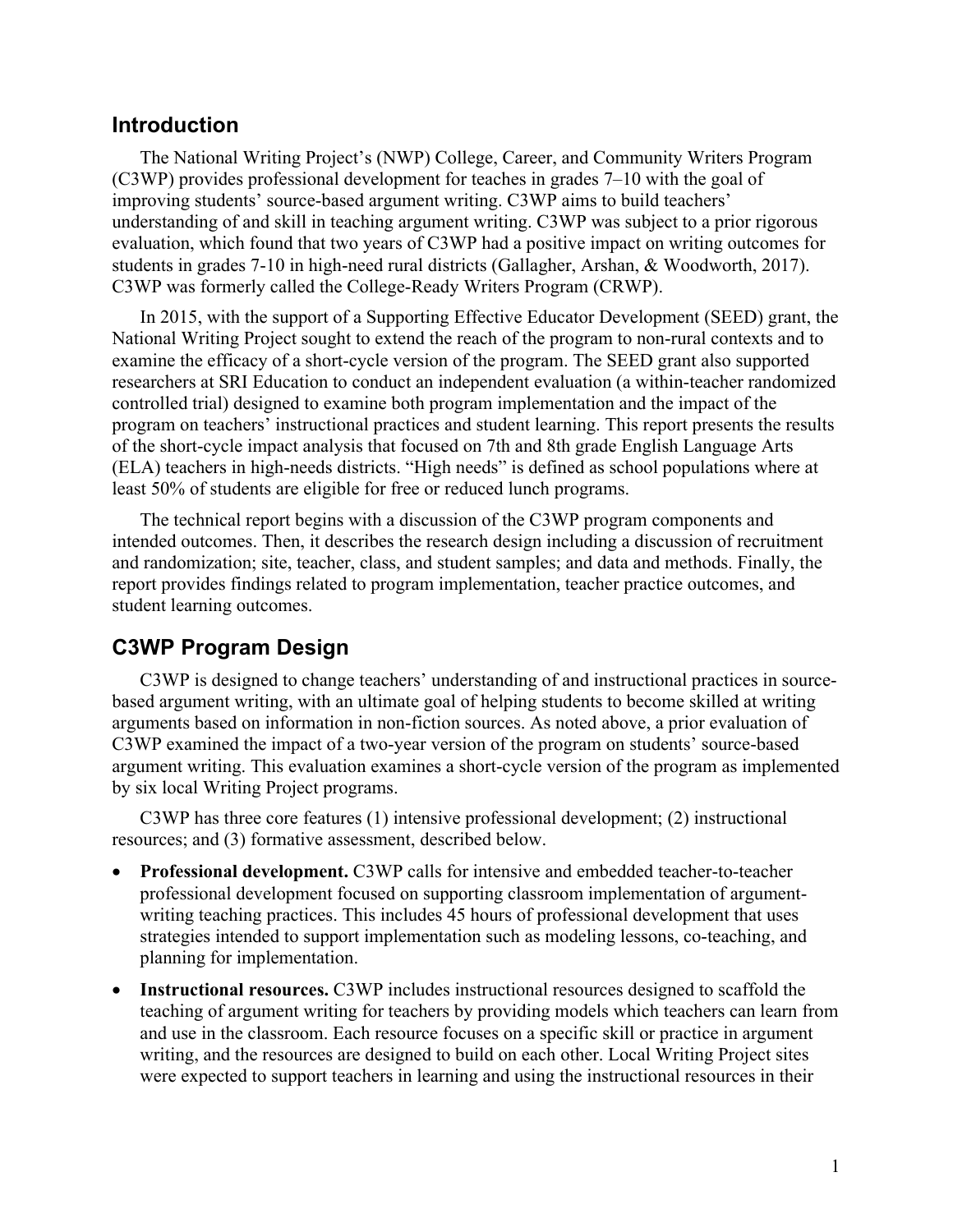## <span id="page-4-0"></span>**Introduction**

The National Writing Project's (NWP) College, Career, and Community Writers Program (C3WP) provides professional development for teaches in grades 7–10 with the goal of improving students' source-based argument writing. C3WP aims to build teachers' understanding of and skill in teaching argument writing. C3WP was subject to a prior rigorous evaluation, which found that two years of C3WP had a positive impact on writing outcomes for students in grades 7-10 in high-need rural districts (Gallagher, Arshan, & Woodworth, 2017). C3WP was formerly called the College-Ready Writers Program (CRWP).

In 2015, with the support of a Supporting Effective Educator Development (SEED) grant, the National Writing Project sought to extend the reach of the program to non-rural contexts and to examine the efficacy of a short-cycle version of the program. The SEED grant also supported researchers at SRI Education to conduct an independent evaluation (a within-teacher randomized controlled trial) designed to examine both program implementation and the impact of the program on teachers' instructional practices and student learning. This report presents the results of the short-cycle impact analysis that focused on 7th and 8th grade English Language Arts (ELA) teachers in high-needs districts. "High needs" is defined as school populations where at least 50% of students are eligible for free or reduced lunch programs.

The technical report begins with a discussion of the C3WP program components and intended outcomes. Then, it describes the research design including a discussion of recruitment and randomization; site, teacher, class, and student samples; and data and methods. Finally, the report provides findings related to program implementation, teacher practice outcomes, and student learning outcomes.

## <span id="page-4-1"></span>**C3WP Program Design**

C3WP is designed to change teachers' understanding of and instructional practices in sourcebased argument writing, with an ultimate goal of helping students to become skilled at writing arguments based on information in non-fiction sources. As noted above, a prior evaluation of C3WP examined the impact of a two-year version of the program on students' source-based argument writing. This evaluation examines a short-cycle version of the program as implemented by six local Writing Project programs.

C3WP has three core features (1) intensive professional development; (2) instructional resources; and (3) formative assessment, described below.

- **Professional development.** C3WP calls for intensive and embedded teacher-to-teacher professional development focused on supporting classroom implementation of argumentwriting teaching practices. This includes 45 hours of professional development that uses strategies intended to support implementation such as modeling lessons, co-teaching, and planning for implementation.
- **Instructional resources.** C3WP includes instructional resources designed to scaffold the teaching of argument writing for teachers by providing models which teachers can learn from and use in the classroom. Each resource focuses on a specific skill or practice in argument writing, and the resources are designed to build on each other. Local Writing Project sites were expected to support teachers in learning and using the instructional resources in their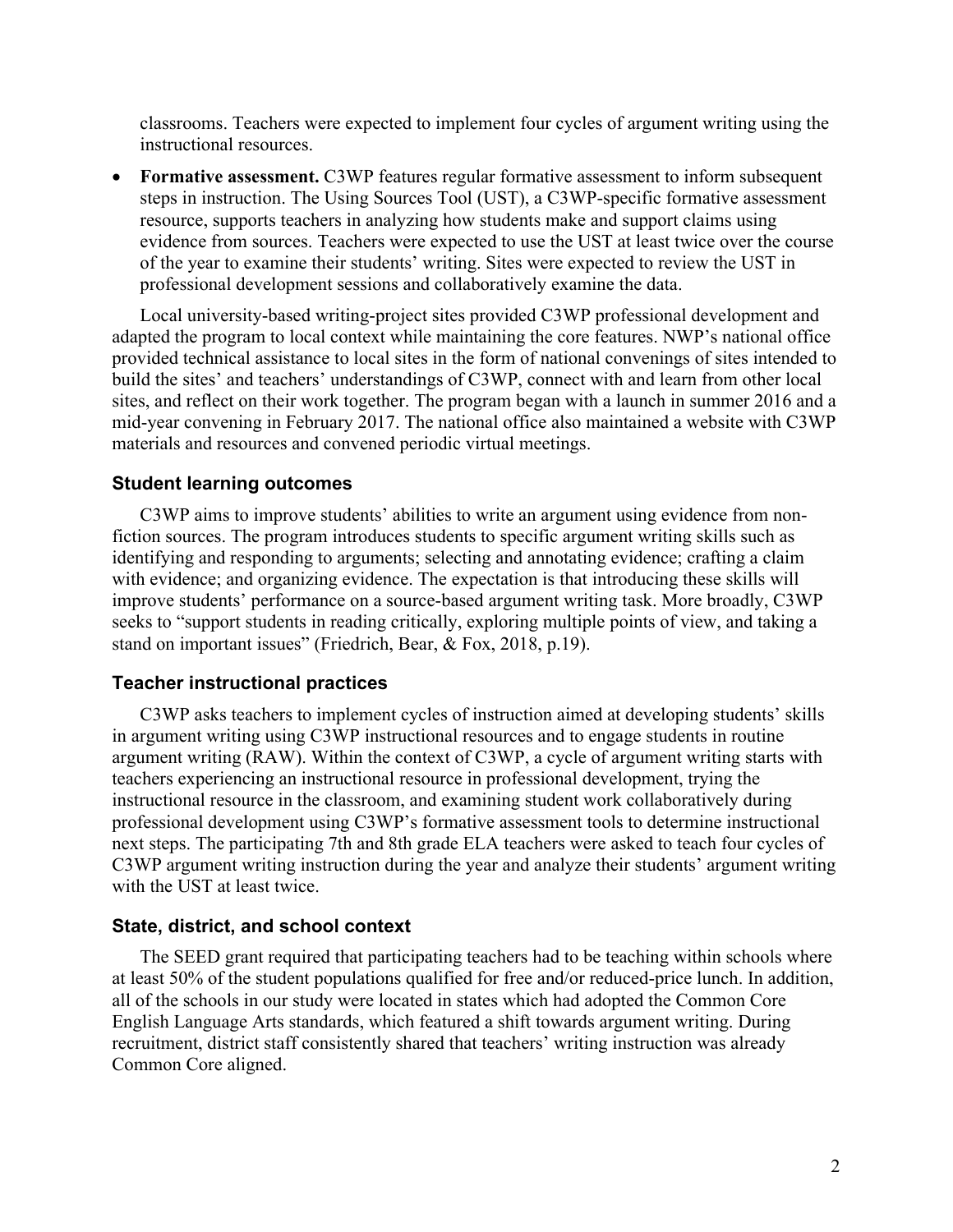classrooms. Teachers were expected to implement four cycles of argument writing using the instructional resources.

• **Formative assessment.** C3WP features regular formative assessment to inform subsequent steps in instruction. The Using Sources Tool (UST), a C3WP-specific formative assessment resource, supports teachers in analyzing how students make and support claims using evidence from sources. Teachers were expected to use the UST at least twice over the course of the year to examine their students' writing. Sites were expected to review the UST in professional development sessions and collaboratively examine the data.

Local university-based writing-project sites provided C3WP professional development and adapted the program to local context while maintaining the core features. NWP's national office provided technical assistance to local sites in the form of national convenings of sites intended to build the sites' and teachers' understandings of C3WP, connect with and learn from other local sites, and reflect on their work together. The program began with a launch in summer 2016 and a mid-year convening in February 2017. The national office also maintained a website with C3WP materials and resources and convened periodic virtual meetings.

#### <span id="page-5-0"></span>**Student learning outcomes**

C3WP aims to improve students' abilities to write an argument using evidence from nonfiction sources. The program introduces students to specific argument writing skills such as identifying and responding to arguments; selecting and annotating evidence; crafting a claim with evidence; and organizing evidence. The expectation is that introducing these skills will improve students' performance on a source-based argument writing task. More broadly, C3WP seeks to "support students in reading critically, exploring multiple points of view, and taking a stand on important issues" (Friedrich, Bear, & Fox, 2018, p.19).

#### <span id="page-5-1"></span>**Teacher instructional practices**

C3WP asks teachers to implement cycles of instruction aimed at developing students' skills in argument writing using C3WP instructional resources and to engage students in routine argument writing (RAW). Within the context of C3WP, a cycle of argument writing starts with teachers experiencing an instructional resource in professional development, trying the instructional resource in the classroom, and examining student work collaboratively during professional development using C3WP's formative assessment tools to determine instructional next steps. The participating 7th and 8th grade ELA teachers were asked to teach four cycles of C3WP argument writing instruction during the year and analyze their students' argument writing with the UST at least twice.

#### <span id="page-5-2"></span>**State, district, and school context**

The SEED grant required that participating teachers had to be teaching within schools where at least 50% of the student populations qualified for free and/or reduced-price lunch. In addition, all of the schools in our study were located in states which had adopted the Common Core English Language Arts standards, which featured a shift towards argument writing. During recruitment, district staff consistently shared that teachers' writing instruction was already Common Core aligned.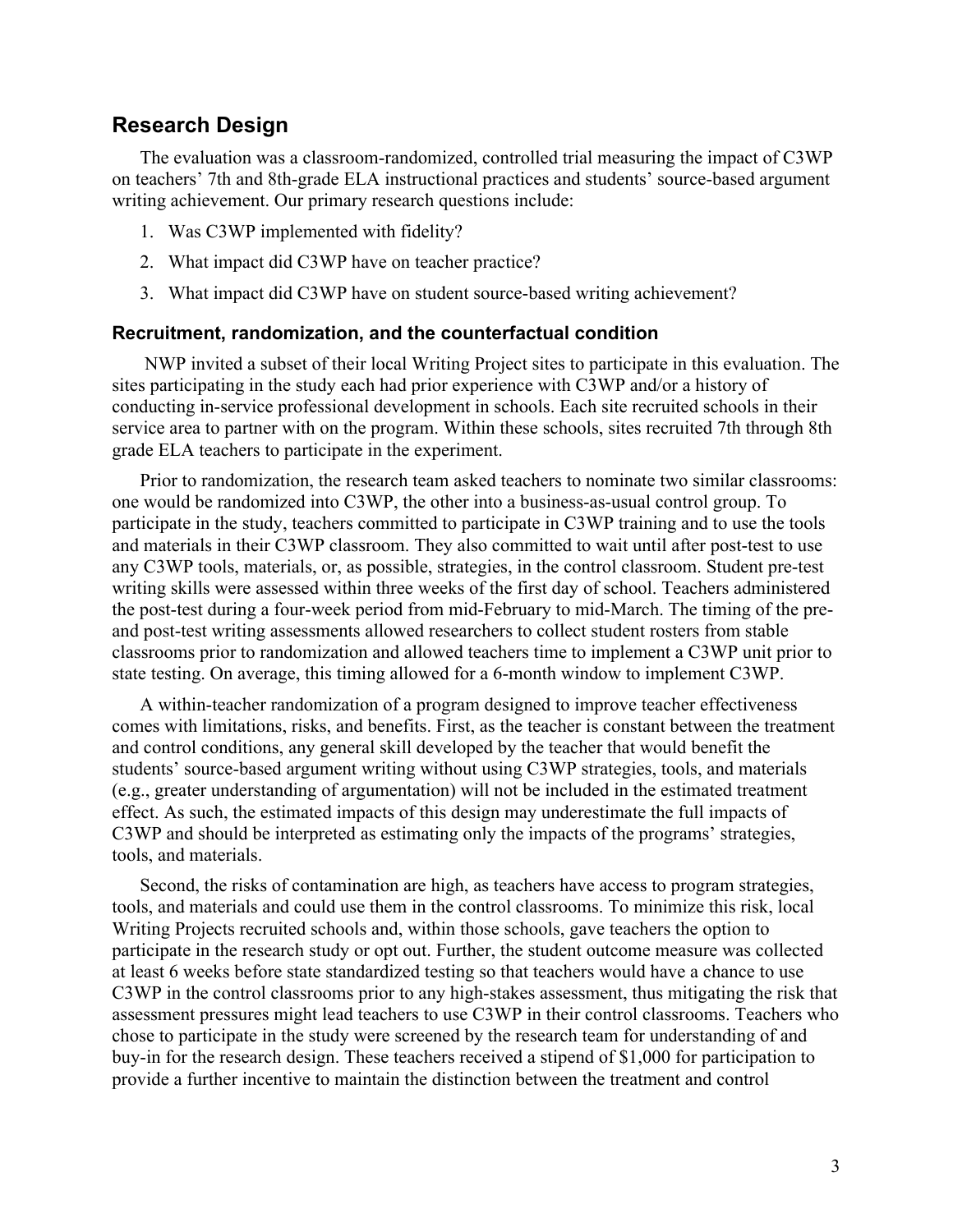## <span id="page-6-0"></span>**Research Design**

The evaluation was a classroom-randomized, controlled trial measuring the impact of C3WP on teachers' 7th and 8th-grade ELA instructional practices and students' source-based argument writing achievement. Our primary research questions include:

- 1. Was C3WP implemented with fidelity?
- 2. What impact did C3WP have on teacher practice?
- 3. What impact did C3WP have on student source-based writing achievement?

#### <span id="page-6-1"></span>**Recruitment, randomization, and the counterfactual condition**

NWP invited a subset of their local Writing Project sites to participate in this evaluation. The sites participating in the study each had prior experience with C3WP and/or a history of conducting in-service professional development in schools. Each site recruited schools in their service area to partner with on the program. Within these schools, sites recruited 7th through 8th grade ELA teachers to participate in the experiment.

Prior to randomization, the research team asked teachers to nominate two similar classrooms: one would be randomized into C3WP, the other into a business-as-usual control group. To participate in the study, teachers committed to participate in C3WP training and to use the tools and materials in their C3WP classroom. They also committed to wait until after post-test to use any C3WP tools, materials, or, as possible, strategies, in the control classroom. Student pre-test writing skills were assessed within three weeks of the first day of school. Teachers administered the post-test during a four-week period from mid-February to mid-March. The timing of the preand post-test writing assessments allowed researchers to collect student rosters from stable classrooms prior to randomization and allowed teachers time to implement a C3WP unit prior to state testing. On average, this timing allowed for a 6-month window to implement C3WP.

A within-teacher randomization of a program designed to improve teacher effectiveness comes with limitations, risks, and benefits. First, as the teacher is constant between the treatment and control conditions, any general skill developed by the teacher that would benefit the students' source-based argument writing without using C3WP strategies, tools, and materials (e.g., greater understanding of argumentation) will not be included in the estimated treatment effect. As such, the estimated impacts of this design may underestimate the full impacts of C3WP and should be interpreted as estimating only the impacts of the programs' strategies, tools, and materials.

Second, the risks of contamination are high, as teachers have access to program strategies, tools, and materials and could use them in the control classrooms. To minimize this risk, local Writing Projects recruited schools and, within those schools, gave teachers the option to participate in the research study or opt out. Further, the student outcome measure was collected at least 6 weeks before state standardized testing so that teachers would have a chance to use C3WP in the control classrooms prior to any high-stakes assessment, thus mitigating the risk that assessment pressures might lead teachers to use C3WP in their control classrooms. Teachers who chose to participate in the study were screened by the research team for understanding of and buy-in for the research design. These teachers received a stipend of \$1,000 for participation to provide a further incentive to maintain the distinction between the treatment and control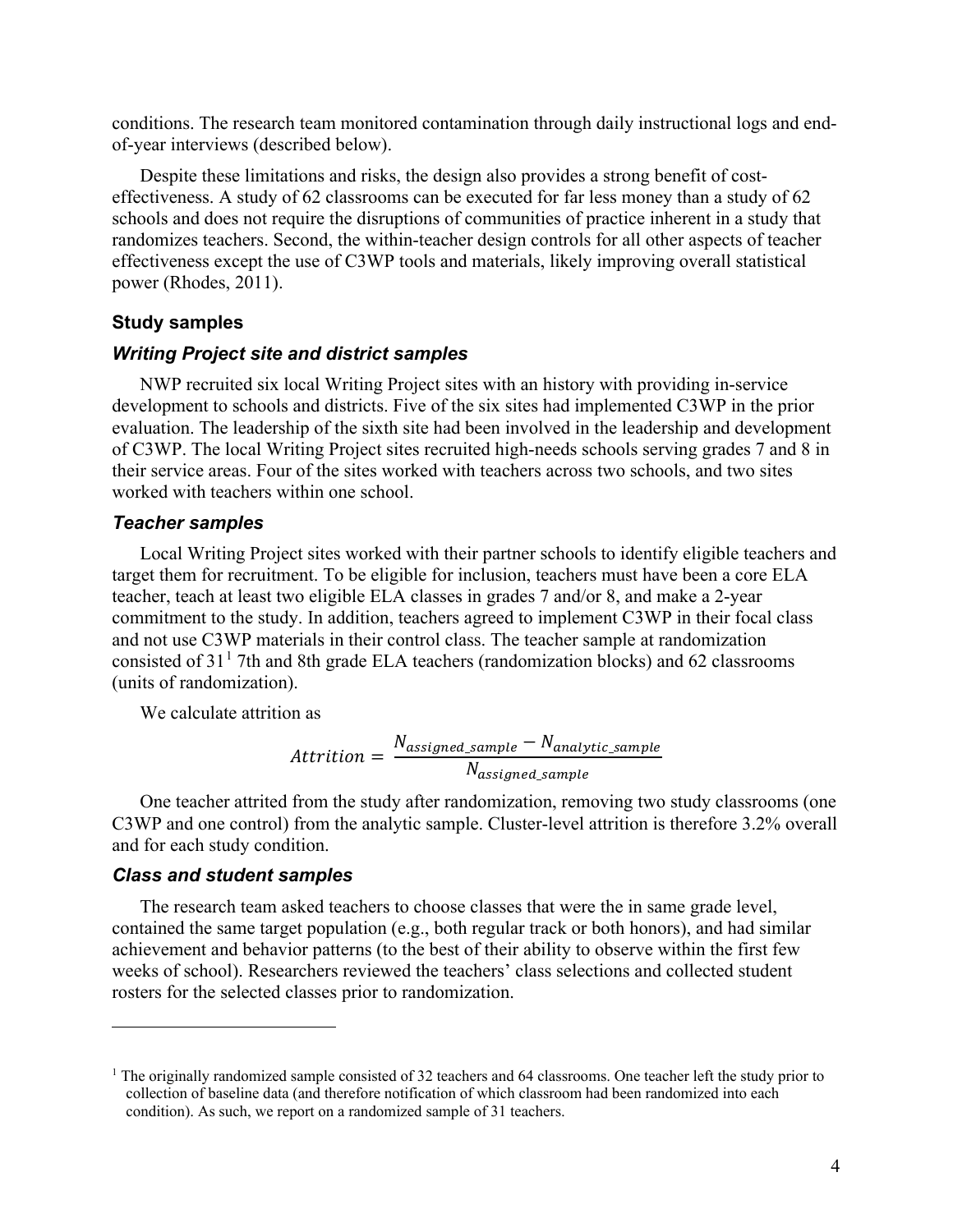conditions. The research team monitored contamination through daily instructional logs and endof-year interviews (described below).

Despite these limitations and risks, the design also provides a strong benefit of costeffectiveness. A study of 62 classrooms can be executed for far less money than a study of 62 schools and does not require the disruptions of communities of practice inherent in a study that randomizes teachers. Second, the within-teacher design controls for all other aspects of teacher effectiveness except the use of C3WP tools and materials, likely improving overall statistical power (Rhodes, 2011).

#### <span id="page-7-0"></span>**Study samples**

#### <span id="page-7-1"></span>*Writing Project site and district samples*

NWP recruited six local Writing Project sites with an history with providing in-service development to schools and districts. Five of the six sites had implemented C3WP in the prior evaluation. The leadership of the sixth site had been involved in the leadership and development of C3WP. The local Writing Project sites recruited high-needs schools serving grades 7 and 8 in their service areas. Four of the sites worked with teachers across two schools, and two sites worked with teachers within one school.

#### <span id="page-7-2"></span>*Teacher samples*

Local Writing Project sites worked with their partner schools to identify eligible teachers and target them for recruitment. To be eligible for inclusion, teachers must have been a core ELA teacher, teach at least two eligible ELA classes in grades 7 and/or 8, and make a 2-year commitment to the study. In addition, teachers agreed to implement C3WP in their focal class and not use C3WP materials in their control class. The teacher sample at randomization consisted of  $31<sup>1</sup>$  $31<sup>1</sup>$  $31<sup>1</sup>$  7th and 8th grade ELA teachers (randomization blocks) and 62 classrooms (units of randomization).

We calculate attrition as

$$
Attention = \frac{N_{assigned\_sample} - N_{analytic\_sample}}{N_{assigned\_sample}}
$$

One teacher attrited from the study after randomization, removing two study classrooms (one C3WP and one control) from the analytic sample. Cluster-level attrition is therefore 3.2% overall and for each study condition.

#### <span id="page-7-3"></span>*Class and student samples*

The research team asked teachers to choose classes that were the in same grade level, contained the same target population (e.g., both regular track or both honors), and had similar achievement and behavior patterns (to the best of their ability to observe within the first few weeks of school). Researchers reviewed the teachers' class selections and collected student rosters for the selected classes prior to randomization.

<span id="page-7-4"></span><sup>&</sup>lt;sup>1</sup> The originally randomized sample consisted of 32 teachers and 64 classrooms. One teacher left the study prior to collection of baseline data (and therefore notification of which classroom had been randomized into each condition). As such, we report on a randomized sample of 31 teachers.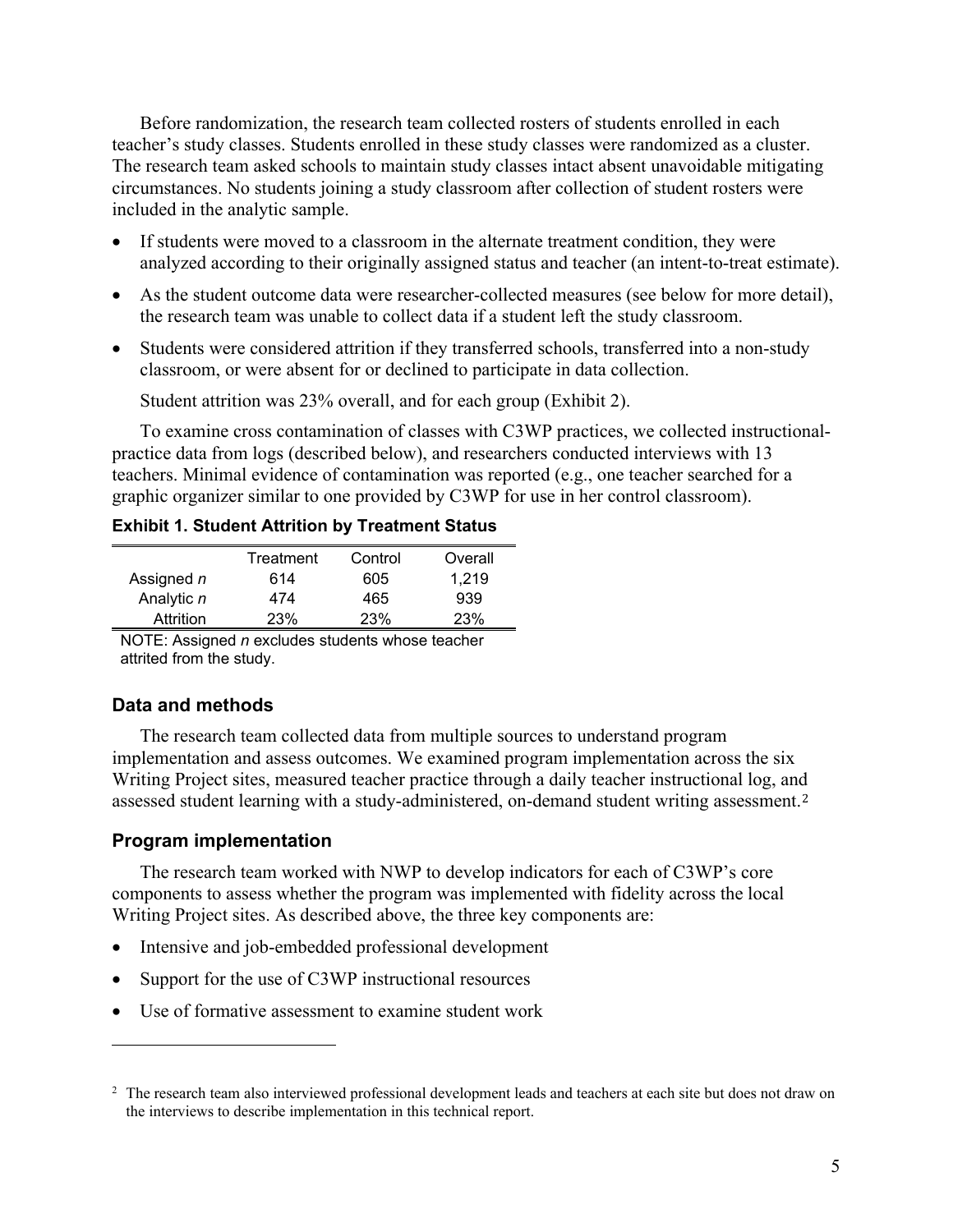Before randomization, the research team collected rosters of students enrolled in each teacher's study classes. Students enrolled in these study classes were randomized as a cluster. The research team asked schools to maintain study classes intact absent unavoidable mitigating circumstances. No students joining a study classroom after collection of student rosters were included in the analytic sample.

- If students were moved to a classroom in the alternate treatment condition, they were analyzed according to their originally assigned status and teacher (an intent-to-treat estimate).
- As the student outcome data were researcher-collected measures (see below for more detail), the research team was unable to collect data if a student left the study classroom.
- Students were considered attrition if they transferred schools, transferred into a non-study classroom, or were absent for or declined to participate in data collection.

Student attrition was 23% overall, and for each group (Exhibit 2).

To examine cross contamination of classes with C3WP practices, we collected instructionalpractice data from logs (described below), and researchers conducted interviews with 13 teachers. Minimal evidence of contamination was reported (e.g., one teacher searched for a graphic organizer similar to one provided by C3WP for use in her control classroom).

<span id="page-8-2"></span>**Exhibit 1. Student Attrition by Treatment Status**

|            | Treatment | Control | Overall |
|------------|-----------|---------|---------|
| Assigned n | 614       | 605     | 1.219   |
| Analytic n | 474       | 465     | 939     |
| Attrition  | 23%       | 23%     | 23%     |

NOTE: Assigned *n* excludes students whose teacher attrited from the study.

#### <span id="page-8-0"></span>**Data and methods**

The research team collected data from multiple sources to understand program implementation and assess outcomes. We examined program implementation across the six Writing Project sites, measured teacher practice through a daily teacher instructional log, an[d](#page-8-3)  assessed student learning with a study-administered, on-demand student writing assessment.<sup>2</sup>

#### <span id="page-8-1"></span>**Program implementation**

The research team worked with NWP to develop indicators for each of C3WP's core components to assess whether the program was implemented with fidelity across the local Writing Project sites. As described above, the three key components are:

- Intensive and job-embedded professional development
- Support for the use of C3WP instructional resources
- Use of formative assessment to examine student work

<span id="page-8-3"></span><sup>&</sup>lt;sup>2</sup> The research team also interviewed professional development leads and teachers at each site but does not draw on the interviews to describe implementation in this technical report.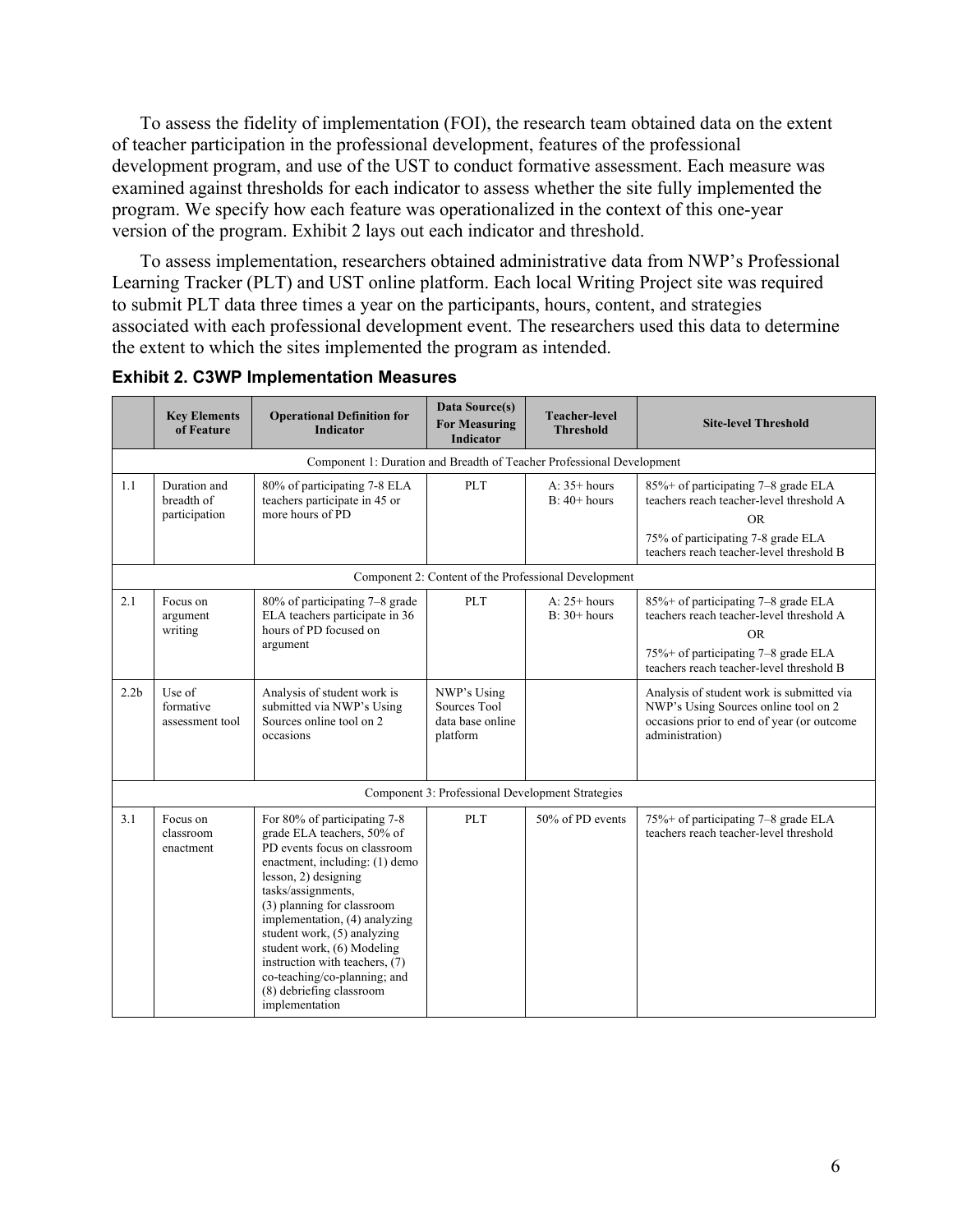To assess the fidelity of implementation (FOI), the research team obtained data on the extent of teacher participation in the professional development, features of the professional development program, and use of the UST to conduct formative assessment. Each measure was examined against thresholds for each indicator to assess whether the site fully implemented the program. We specify how each feature was operationalized in the context of this one-year version of the program. Exhibit 2 lays out each indicator and threshold.

To assess implementation, researchers obtained administrative data from NWP's Professional Learning Tracker (PLT) and UST online platform. Each local Writing Project site was required to submit PLT data three times a year on the participants, hours, content, and strategies associated with each professional development event. The researchers used this data to determine the extent to which the sites implemented the program as intended.

|                  | <b>Key Elements</b><br>of Feature           | <b>Operational Definition for</b><br><b>Indicator</b>                                                                                                                                                                                                                                                                                                                                                                  | Data Source(s)<br><b>For Measuring</b><br><b>Indicator</b>  | <b>Teacher-level</b><br><b>Threshold</b>             | <b>Site-level Threshold</b>                                                                                                                                                           |
|------------------|---------------------------------------------|------------------------------------------------------------------------------------------------------------------------------------------------------------------------------------------------------------------------------------------------------------------------------------------------------------------------------------------------------------------------------------------------------------------------|-------------------------------------------------------------|------------------------------------------------------|---------------------------------------------------------------------------------------------------------------------------------------------------------------------------------------|
|                  |                                             | Component 1: Duration and Breadth of Teacher Professional Development                                                                                                                                                                                                                                                                                                                                                  |                                                             |                                                      |                                                                                                                                                                                       |
| 1.1              | Duration and<br>breadth of<br>participation | 80% of participating 7-8 ELA<br>teachers participate in 45 or<br>more hours of PD                                                                                                                                                                                                                                                                                                                                      | PLT                                                         | $A: 35+ hours$<br>$B: 40+ hours$                     | 85%+ of participating 7–8 grade ELA<br>teachers reach teacher-level threshold A<br><b>OR</b><br>75% of participating 7-8 grade ELA<br>teachers reach teacher-level threshold B        |
|                  |                                             |                                                                                                                                                                                                                                                                                                                                                                                                                        |                                                             | Component 2: Content of the Professional Development |                                                                                                                                                                                       |
| 2.1              | Focus on<br>argument<br>writing             | 80% of participating 7-8 grade<br>ELA teachers participate in 36<br>hours of PD focused on<br>argument                                                                                                                                                                                                                                                                                                                 | PLT                                                         | $A: 25+ hours$<br>$B: 30+ hours$                     | 85%+ of participating 7–8 grade ELA<br>teachers reach teacher-level threshold A<br><b>OR</b><br>$75\%$ + of participating $7-8$ grade ELA<br>teachers reach teacher-level threshold B |
| 2.2 <sub>b</sub> | Use of<br>formative<br>assessment tool      | Analysis of student work is<br>submitted via NWP's Using<br>Sources online tool on 2<br>occasions                                                                                                                                                                                                                                                                                                                      | NWP's Using<br>Sources Tool<br>data base online<br>platform |                                                      | Analysis of student work is submitted via<br>NWP's Using Sources online tool on 2<br>occasions prior to end of year (or outcome<br>administration)                                    |
|                  |                                             |                                                                                                                                                                                                                                                                                                                                                                                                                        |                                                             | Component 3: Professional Development Strategies     |                                                                                                                                                                                       |
| 3.1              | Focus on<br>classroom<br>enactment          | For 80% of participating 7-8<br>grade ELA teachers, 50% of<br>PD events focus on classroom<br>enactment, including: (1) demo<br>lesson, 2) designing<br>tasks/assignments,<br>(3) planning for classroom<br>implementation, (4) analyzing<br>student work, (5) analyzing<br>student work, (6) Modeling<br>instruction with teachers, (7)<br>co-teaching/co-planning; and<br>(8) debriefing classroom<br>implementation | PLT                                                         | 50% of PD events                                     | 75%+ of participating 7-8 grade ELA<br>teachers reach teacher-level threshold                                                                                                         |

#### <span id="page-9-0"></span>**Exhibit 2. C3WP Implementation Measures**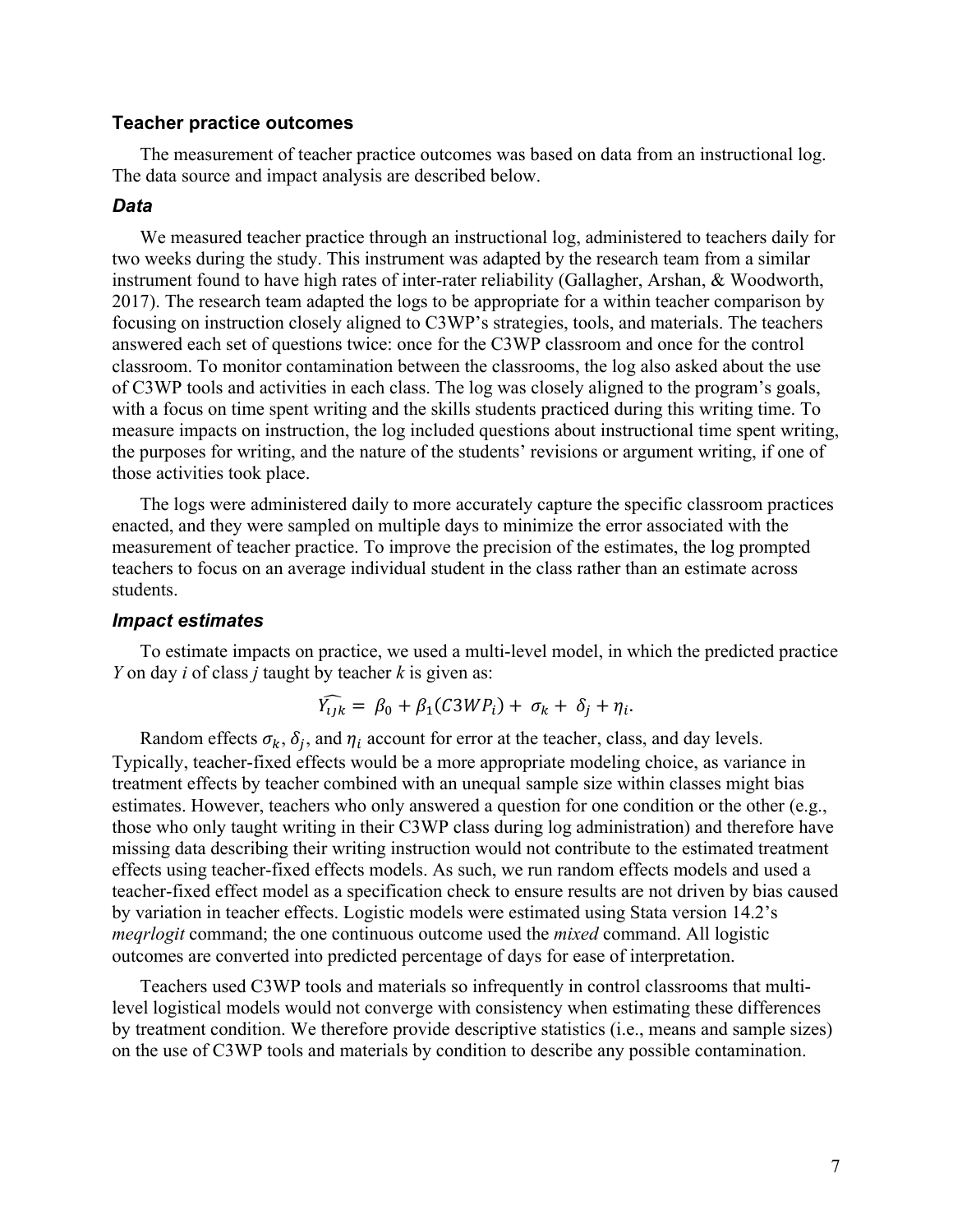#### <span id="page-10-0"></span>**Teacher practice outcomes**

The measurement of teacher practice outcomes was based on data from an instructional log. The data source and impact analysis are described below.

#### <span id="page-10-1"></span>*Data*

We measured teacher practice through an instructional log, administered to teachers daily for two weeks during the study. This instrument was adapted by the research team from a similar instrument found to have high rates of inter-rater reliability (Gallagher, Arshan, & Woodworth, 2017). The research team adapted the logs to be appropriate for a within teacher comparison by focusing on instruction closely aligned to C3WP's strategies, tools, and materials. The teachers answered each set of questions twice: once for the C3WP classroom and once for the control classroom. To monitor contamination between the classrooms, the log also asked about the use of C3WP tools and activities in each class. The log was closely aligned to the program's goals, with a focus on time spent writing and the skills students practiced during this writing time. To measure impacts on instruction, the log included questions about instructional time spent writing, the purposes for writing, and the nature of the students' revisions or argument writing, if one of those activities took place.

The logs were administered daily to more accurately capture the specific classroom practices enacted, and they were sampled on multiple days to minimize the error associated with the measurement of teacher practice. To improve the precision of the estimates, the log prompted teachers to focus on an average individual student in the class rather than an estimate across students.

#### <span id="page-10-2"></span>*Impact estimates*

To estimate impacts on practice, we used a multi-level model, in which the predicted practice *Y* on day *i* of class *j* taught by teacher *k* is given as:

$$
\widehat{Y_{ijk}} = \beta_0 + \beta_1 (C3WP_i) + \sigma_k + \delta_j + \eta_i.
$$

Random effects  $\sigma_k$ ,  $\delta_j$ , and  $\eta_i$  account for error at the teacher, class, and day levels. Typically, teacher-fixed effects would be a more appropriate modeling choice, as variance in treatment effects by teacher combined with an unequal sample size within classes might bias estimates. However, teachers who only answered a question for one condition or the other (e.g., those who only taught writing in their C3WP class during log administration) and therefore have missing data describing their writing instruction would not contribute to the estimated treatment effects using teacher-fixed effects models. As such, we run random effects models and used a teacher-fixed effect model as a specification check to ensure results are not driven by bias caused by variation in teacher effects. Logistic models were estimated using Stata version 14.2's *meqrlogit* command; the one continuous outcome used the *mixed* command. All logistic outcomes are converted into predicted percentage of days for ease of interpretation.

Teachers used C3WP tools and materials so infrequently in control classrooms that multilevel logistical models would not converge with consistency when estimating these differences by treatment condition. We therefore provide descriptive statistics (i.e., means and sample sizes) on the use of C3WP tools and materials by condition to describe any possible contamination.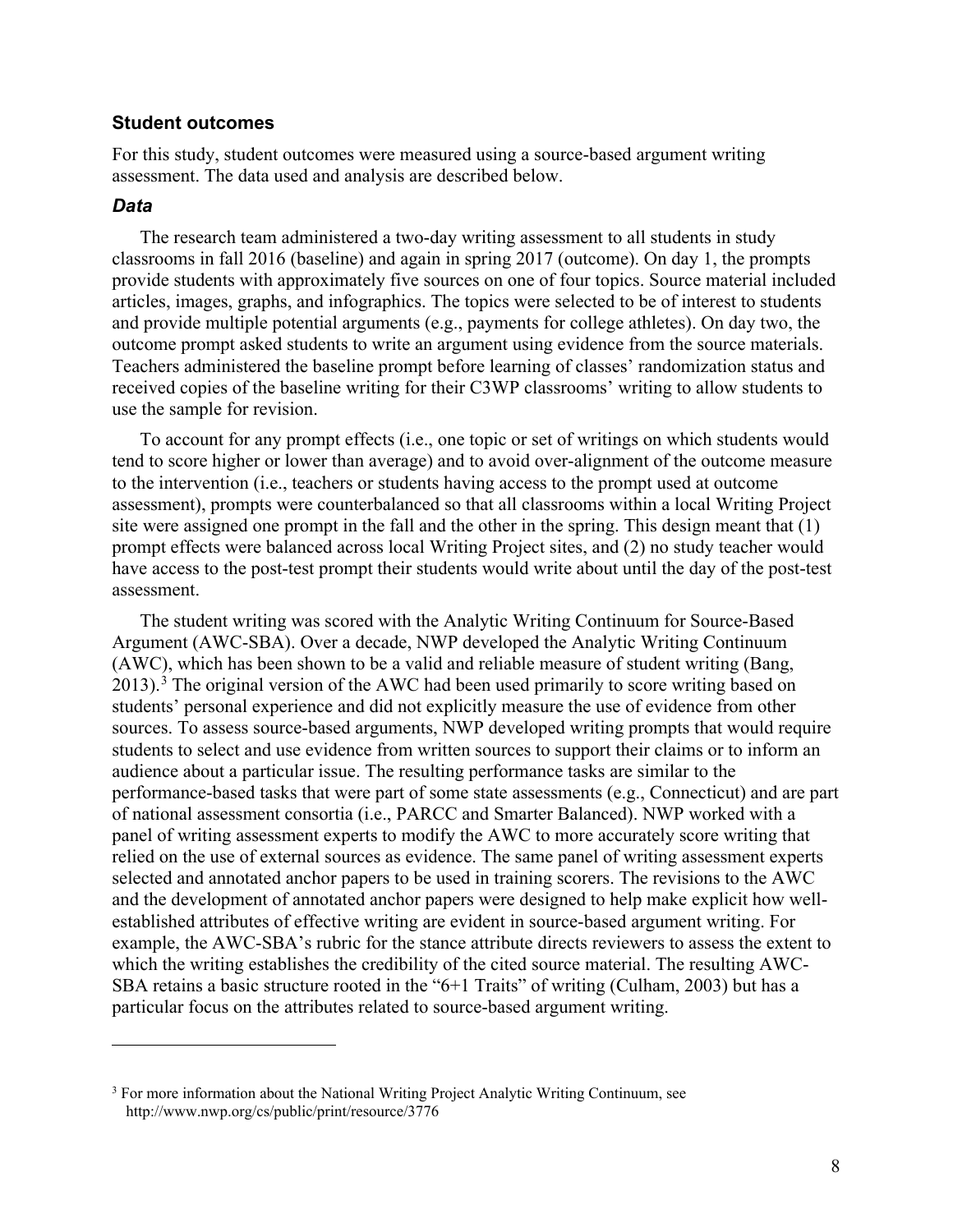#### <span id="page-11-0"></span>**Student outcomes**

For this study, student outcomes were measured using a source-based argument writing assessment. The data used and analysis are described below.

#### <span id="page-11-1"></span>*Data*

The research team administered a two-day writing assessment to all students in study classrooms in fall 2016 (baseline) and again in spring 2017 (outcome). On day 1, the prompts provide students with approximately five sources on one of four topics. Source material included articles, images, graphs, and infographics. The topics were selected to be of interest to students and provide multiple potential arguments (e.g., payments for college athletes). On day two, the outcome prompt asked students to write an argument using evidence from the source materials. Teachers administered the baseline prompt before learning of classes' randomization status and received copies of the baseline writing for their C3WP classrooms' writing to allow students to use the sample for revision.

To account for any prompt effects (i.e., one topic or set of writings on which students would tend to score higher or lower than average) and to avoid over-alignment of the outcome measure to the intervention (i.e., teachers or students having access to the prompt used at outcome assessment), prompts were counterbalanced so that all classrooms within a local Writing Project site were assigned one prompt in the fall and the other in the spring. This design meant that (1) prompt effects were balanced across local Writing Project sites, and (2) no study teacher would have access to the post-test prompt their students would write about until the day of the post-test assessment.

The student writing was scored with the Analytic Writing Continuum for Source-Based Argument (AWC-SBA). Over a decade, NWP developed the Analytic Writing Continuum (AWC), which has been shown to be a valid and reliable measure of student writing (Bang,  $2013$  $2013$ .<sup>3</sup> The original version of the AWC had been used primarily to score writing based on students' personal experience and did not explicitly measure the use of evidence from other sources. To assess source-based arguments, NWP developed writing prompts that would require students to select and use evidence from written sources to support their claims or to inform an audience about a particular issue. The resulting performance tasks are similar to the performance-based tasks that were part of some state assessments (e.g., Connecticut) and are part of national assessment consortia (i.e., PARCC and Smarter Balanced). NWP worked with a panel of writing assessment experts to modify the AWC to more accurately score writing that relied on the use of external sources as evidence. The same panel of writing assessment experts selected and annotated anchor papers to be used in training scorers. The revisions to the AWC and the development of annotated anchor papers were designed to help make explicit how wellestablished attributes of effective writing are evident in source-based argument writing. For example, the AWC-SBA's rubric for the stance attribute directs reviewers to assess the extent to which the writing establishes the credibility of the cited source material. The resulting AWC-SBA retains a basic structure rooted in the "6+1 Traits" of writing (Culham, 2003) but has a particular focus on the attributes related to source-based argument writing.

<span id="page-11-2"></span><sup>&</sup>lt;sup>3</sup> For more information about the National Writing Project Analytic Writing Continuum, see http://www.nwp.org/cs/public/print/resource/3776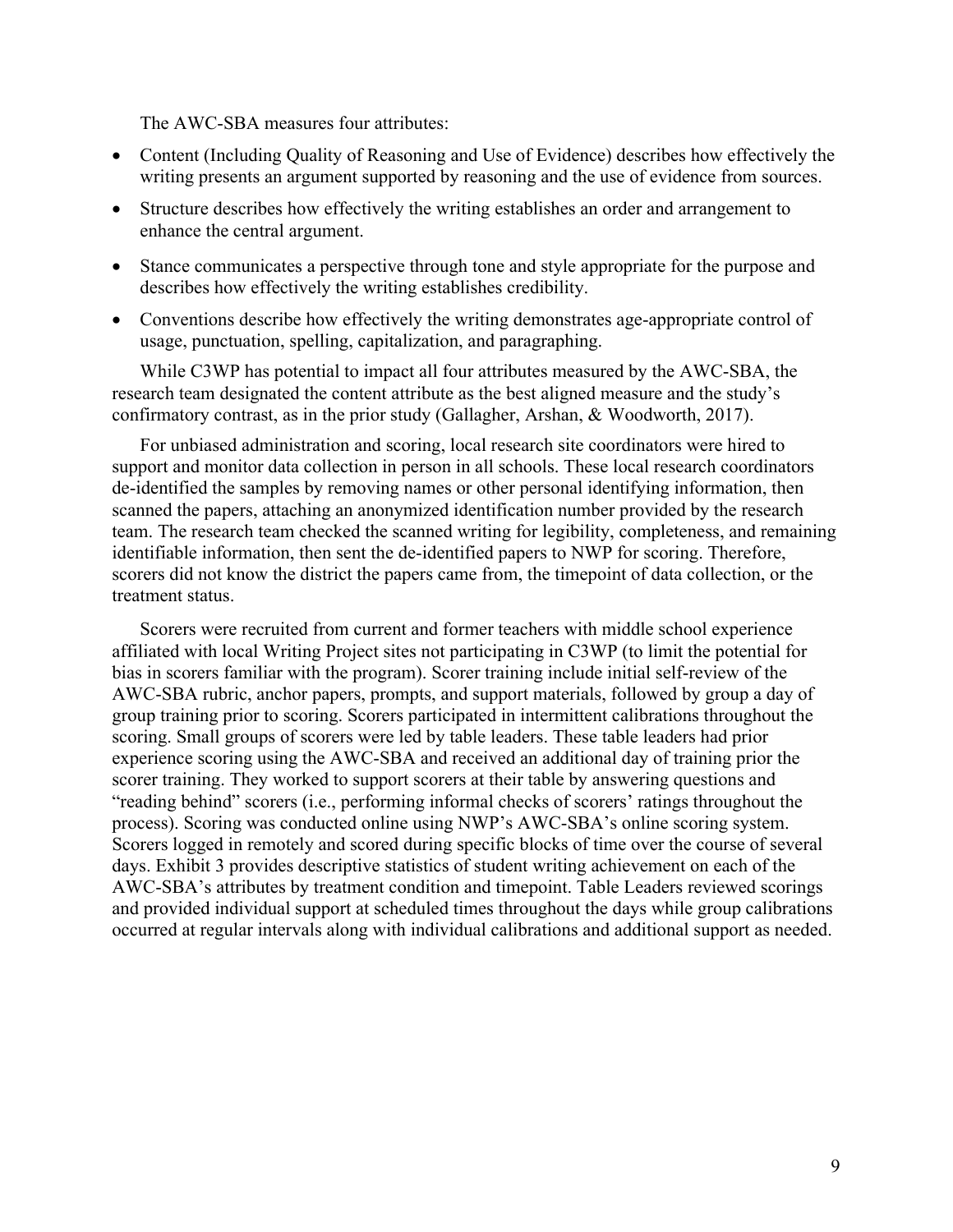The AWC-SBA measures four attributes:

- Content (Including Quality of Reasoning and Use of Evidence) describes how effectively the writing presents an argument supported by reasoning and the use of evidence from sources.
- Structure describes how effectively the writing establishes an order and arrangement to enhance the central argument.
- Stance communicates a perspective through tone and style appropriate for the purpose and describes how effectively the writing establishes credibility.
- Conventions describe how effectively the writing demonstrates age-appropriate control of usage, punctuation, spelling, capitalization, and paragraphing.

While C3WP has potential to impact all four attributes measured by the AWC-SBA, the research team designated the content attribute as the best aligned measure and the study's confirmatory contrast, as in the prior study (Gallagher, Arshan, & Woodworth, 2017).

For unbiased administration and scoring, local research site coordinators were hired to support and monitor data collection in person in all schools. These local research coordinators de-identified the samples by removing names or other personal identifying information, then scanned the papers, attaching an anonymized identification number provided by the research team. The research team checked the scanned writing for legibility, completeness, and remaining identifiable information, then sent the de-identified papers to NWP for scoring. Therefore, scorers did not know the district the papers came from, the timepoint of data collection, or the treatment status.

Scorers were recruited from current and former teachers with middle school experience affiliated with local Writing Project sites not participating in C3WP (to limit the potential for bias in scorers familiar with the program). Scorer training include initial self-review of the AWC-SBA rubric, anchor papers, prompts, and support materials, followed by group a day of group training prior to scoring. Scorers participated in intermittent calibrations throughout the scoring. Small groups of scorers were led by table leaders. These table leaders had prior experience scoring using the AWC-SBA and received an additional day of training prior the scorer training. They worked to support scorers at their table by answering questions and "reading behind" scorers (i.e., performing informal checks of scorers' ratings throughout the process). Scoring was conducted online using NWP's AWC-SBA's online scoring system. Scorers logged in remotely and scored during specific blocks of time over the course of several days. Exhibit 3 provides descriptive statistics of student writing achievement on each of the AWC-SBA's attributes by treatment condition and timepoint. Table Leaders reviewed scorings and provided individual support at scheduled times throughout the days while group calibrations occurred at regular intervals along with individual calibrations and additional support as needed.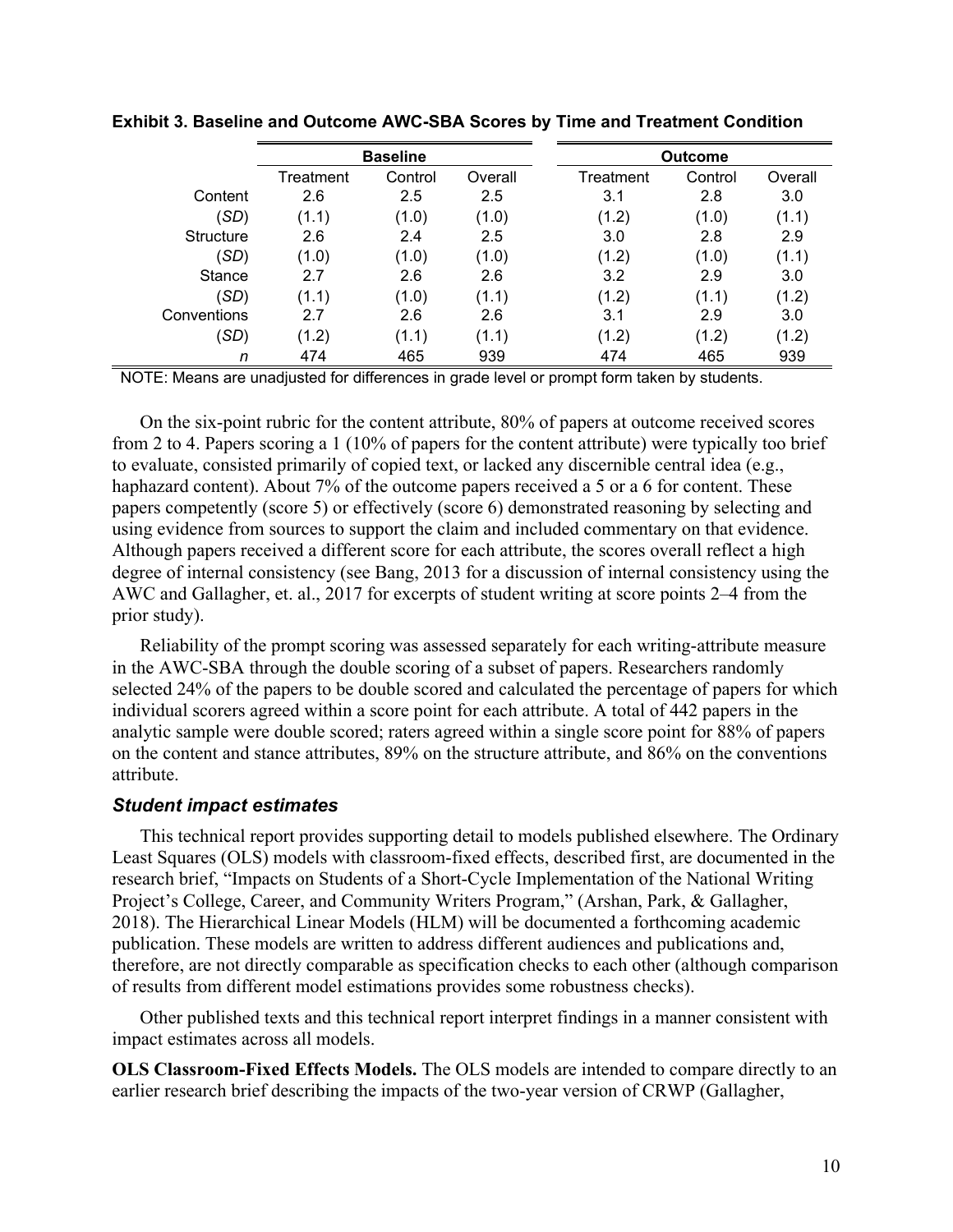|                  |           | <b>Baseline</b> |         |           | <b>Outcome</b> |         |
|------------------|-----------|-----------------|---------|-----------|----------------|---------|
|                  | Treatment | Control         | Overall | Treatment | Control        | Overall |
| Content          | 2.6       | 2.5             | 2.5     | 3.1       | 2.8            | 3.0     |
| (SD)             | (1.1)     | (1.0)           | (1.0)   | (1.2)     | (1.0)          | (1.1)   |
| <b>Structure</b> | 2.6       | 2.4             | 2.5     | 3.0       | 2.8            | 2.9     |
| (SD)             | (1.0)     | (1.0)           | (1.0)   | (1.2)     | (1.0)          | (1.1)   |
| <b>Stance</b>    | 2.7       | 2.6             | 2.6     | 3.2       | 2.9            | 3.0     |
| (SD)             | (1.1)     | (1.0)           | (1.1)   | (1.2)     | (1.1)          | (1.2)   |
| Conventions      | 2.7       | 2.6             | 2.6     | 3.1       | 2.9            | 3.0     |
| (SD)             | (1.2)     | (1.1)           | (1.1)   | (1.2)     | (1.2)          | (1.2)   |
| n                | 474       | 465             | 939     | 474       | 465            | 939     |

<span id="page-13-1"></span>**Exhibit 3. Baseline and Outcome AWC-SBA Scores by Time and Treatment Condition**

NOTE: Means are unadjusted for differences in grade level or prompt form taken by students.

On the six-point rubric for the content attribute, 80% of papers at outcome received scores from 2 to 4. Papers scoring a 1 (10% of papers for the content attribute) were typically too brief to evaluate, consisted primarily of copied text, or lacked any discernible central idea (e.g., haphazard content). About 7% of the outcome papers received a 5 or a 6 for content. These papers competently (score 5) or effectively (score 6) demonstrated reasoning by selecting and using evidence from sources to support the claim and included commentary on that evidence. Although papers received a different score for each attribute, the scores overall reflect a high degree of internal consistency (see Bang, 2013 for a discussion of internal consistency using the AWC and Gallagher, et. al., 2017 for excerpts of student writing at score points 2–4 from the prior study).

Reliability of the prompt scoring was assessed separately for each writing-attribute measure in the AWC-SBA through the double scoring of a subset of papers. Researchers randomly selected 24% of the papers to be double scored and calculated the percentage of papers for which individual scorers agreed within a score point for each attribute. A total of 442 papers in the analytic sample were double scored; raters agreed within a single score point for 88% of papers on the content and stance attributes, 89% on the structure attribute, and 86% on the conventions attribute.

#### <span id="page-13-0"></span>*Student impact estimates*

This technical report provides supporting detail to models published elsewhere. The Ordinary Least Squares (OLS) models with classroom-fixed effects, described first, are documented in the research brief, "Impacts on Students of a Short-Cycle Implementation of the National Writing Project's College, Career, and Community Writers Program," (Arshan, Park, & Gallagher, 2018). The Hierarchical Linear Models (HLM) will be documented a forthcoming academic publication. These models are written to address different audiences and publications and, therefore, are not directly comparable as specification checks to each other (although comparison of results from different model estimations provides some robustness checks).

Other published texts and this technical report interpret findings in a manner consistent with impact estimates across all models.

**OLS Classroom-Fixed Effects Models.** The OLS models are intended to compare directly to an earlier research brief describing the impacts of the two-year version of CRWP (Gallagher,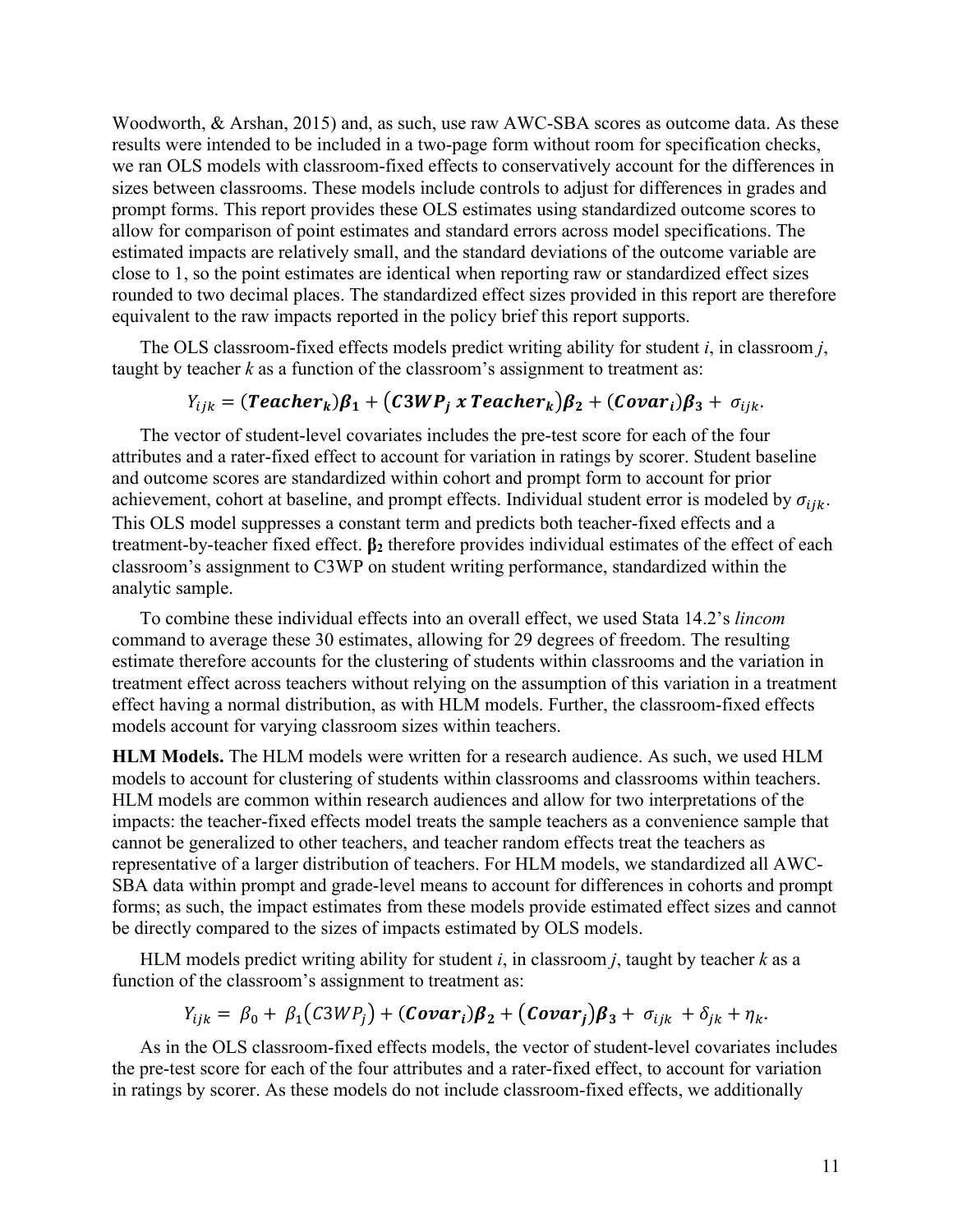Woodworth, & Arshan, 2015) and, as such, use raw AWC-SBA scores as outcome data. As these results were intended to be included in a two-page form without room for specification checks, we ran OLS models with classroom-fixed effects to conservatively account for the differences in sizes between classrooms. These models include controls to adjust for differences in grades and prompt forms. This report provides these OLS estimates using standardized outcome scores to allow for comparison of point estimates and standard errors across model specifications. The estimated impacts are relatively small, and the standard deviations of the outcome variable are close to 1, so the point estimates are identical when reporting raw or standardized effect sizes rounded to two decimal places. The standardized effect sizes provided in this report are therefore equivalent to the raw impacts reported in the policy brief this report supports.

The OLS classroom-fixed effects models predict writing ability for student *i*, in classroom *j*, taught by teacher  $k$  as a function of the classroom's assignment to treatment as:

## $Y_{iik} = (Teacher_k)\beta_1 + (C3WP_i x Teacher_k)\beta_2 + (Covar_i)\beta_3 + \sigma_{iik}.$

The vector of student-level covariates includes the pre-test score for each of the four attributes and a rater-fixed effect to account for variation in ratings by scorer. Student baseline and outcome scores are standardized within cohort and prompt form to account for prior achievement, cohort at baseline, and prompt effects. Individual student error is modeled by  $\sigma_{ijk}$ . This OLS model suppresses a constant term and predicts both teacher-fixed effects and a treatment-by-teacher fixed effect. **β<sup>2</sup>** therefore provides individual estimates of the effect of each classroom's assignment to C3WP on student writing performance, standardized within the analytic sample.

To combine these individual effects into an overall effect, we used Stata 14.2's *lincom* command to average these 30 estimates, allowing for 29 degrees of freedom. The resulting estimate therefore accounts for the clustering of students within classrooms and the variation in treatment effect across teachers without relying on the assumption of this variation in a treatment effect having a normal distribution, as with HLM models. Further, the classroom-fixed effects models account for varying classroom sizes within teachers.

**HLM Models.** The HLM models were written for a research audience. As such, we used HLM models to account for clustering of students within classrooms and classrooms within teachers. HLM models are common within research audiences and allow for two interpretations of the impacts: the teacher-fixed effects model treats the sample teachers as a convenience sample that cannot be generalized to other teachers, and teacher random effects treat the teachers as representative of a larger distribution of teachers. For HLM models, we standardized all AWC-SBA data within prompt and grade-level means to account for differences in cohorts and prompt forms; as such, the impact estimates from these models provide estimated effect sizes and cannot be directly compared to the sizes of impacts estimated by OLS models.

HLM models predict writing ability for student *i*, in classroom *j*, taught by teacher *k* as a function of the classroom's assignment to treatment as:

$$
Y_{ijk} = \beta_0 + \beta_1 (C3WP_j) + (Covar_i)\beta_2 + (Covar_j)\beta_3 + \sigma_{ijk} + \delta_{jk} + \eta_k.
$$

As in the OLS classroom-fixed effects models, the vector of student-level covariates includes the pre-test score for each of the four attributes and a rater-fixed effect, to account for variation in ratings by scorer. As these models do not include classroom-fixed effects, we additionally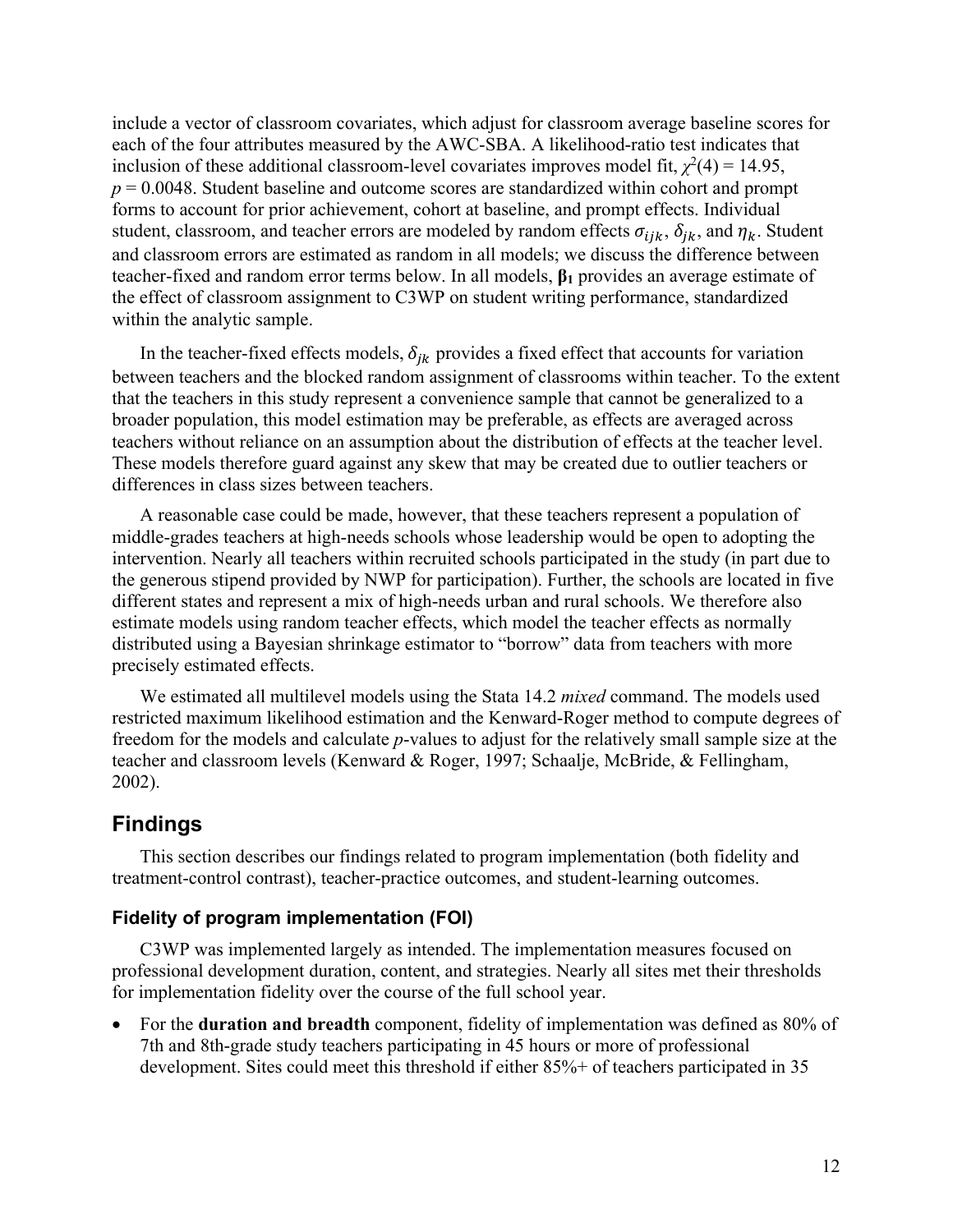include a vector of classroom covariates, which adjust for classroom average baseline scores for each of the four attributes measured by the AWC-SBA. A likelihood-ratio test indicates that inclusion of these additional classroom-level covariates improves model fit,  $\chi^2(4) = 14.95$ ,  $p = 0.0048$ . Student baseline and outcome scores are standardized within cohort and prompt forms to account for prior achievement, cohort at baseline, and prompt effects. Individual student, classroom, and teacher errors are modeled by random effects  $\sigma_{ijk}$ ,  $\delta_{jk}$ , and  $\eta_k$ . Student and classroom errors are estimated as random in all models; we discuss the difference between teacher-fixed and random error terms below. In all models, **β<sup>1</sup>** provides an average estimate of the effect of classroom assignment to C3WP on student writing performance, standardized within the analytic sample.

In the teacher-fixed effects models,  $\delta_{ik}$  provides a fixed effect that accounts for variation between teachers and the blocked random assignment of classrooms within teacher. To the extent that the teachers in this study represent a convenience sample that cannot be generalized to a broader population, this model estimation may be preferable, as effects are averaged across teachers without reliance on an assumption about the distribution of effects at the teacher level. These models therefore guard against any skew that may be created due to outlier teachers or differences in class sizes between teachers.

A reasonable case could be made, however, that these teachers represent a population of middle-grades teachers at high-needs schools whose leadership would be open to adopting the intervention. Nearly all teachers within recruited schools participated in the study (in part due to the generous stipend provided by NWP for participation). Further, the schools are located in five different states and represent a mix of high-needs urban and rural schools. We therefore also estimate models using random teacher effects, which model the teacher effects as normally distributed using a Bayesian shrinkage estimator to "borrow" data from teachers with more precisely estimated effects.

We estimated all multilevel models using the Stata 14.2 *mixed* command. The models used restricted maximum likelihood estimation and the Kenward-Roger method to compute degrees of freedom for the models and calculate *p*-values to adjust for the relatively small sample size at the teacher and classroom levels (Kenward & Roger, 1997; Schaalje, McBride, & Fellingham, 2002).

## <span id="page-15-0"></span>**Findings**

This section describes our findings related to program implementation (both fidelity and treatment-control contrast), teacher-practice outcomes, and student-learning outcomes.

## <span id="page-15-1"></span>**Fidelity of program implementation (FOI)**

C3WP was implemented largely as intended. The implementation measures focused on professional development duration, content, and strategies. Nearly all sites met their thresholds for implementation fidelity over the course of the full school year.

• For the **duration and breadth** component, fidelity of implementation was defined as 80% of 7th and 8th-grade study teachers participating in 45 hours or more of professional development. Sites could meet this threshold if either 85%+ of teachers participated in 35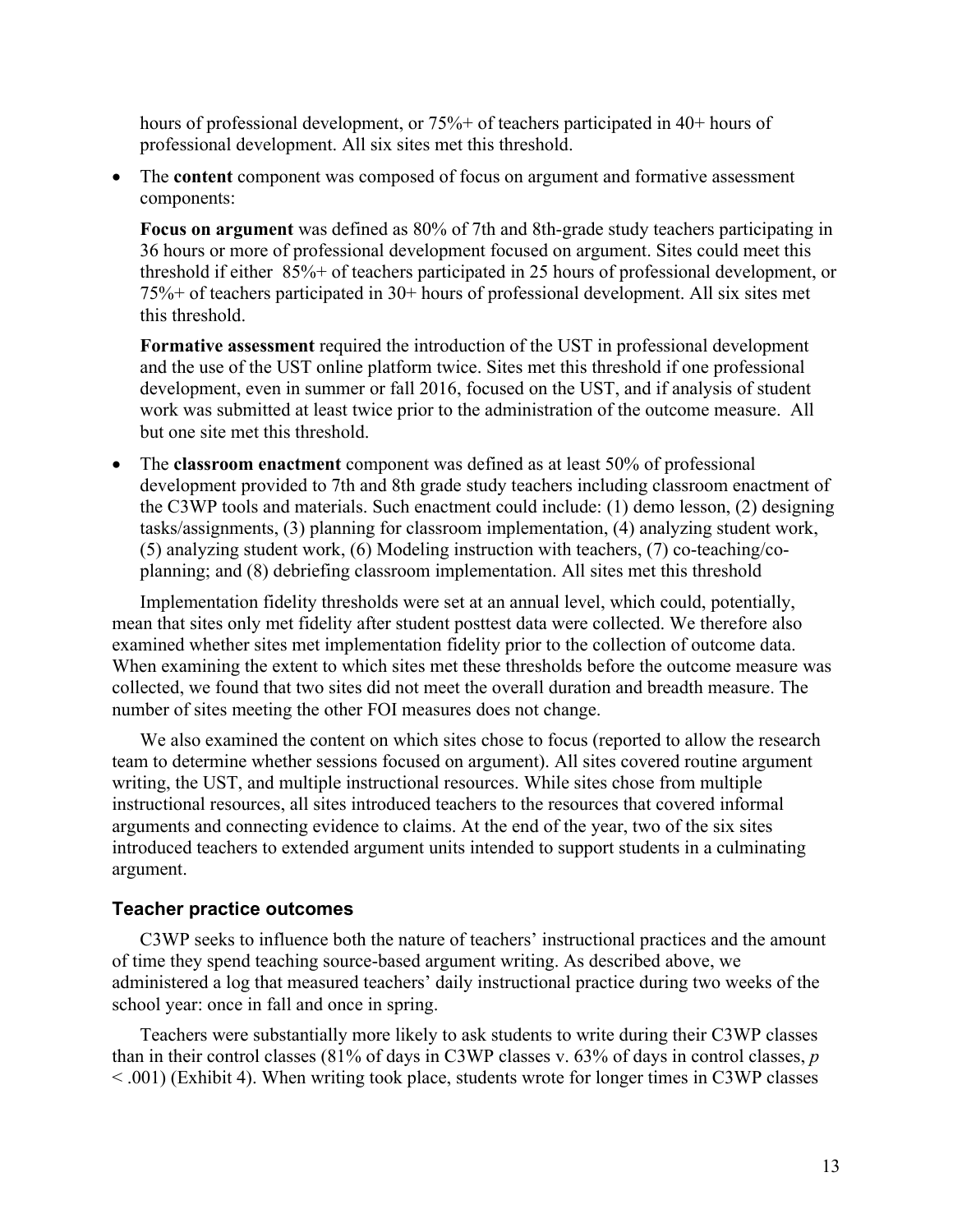hours of professional development, or 75%+ of teachers participated in 40+ hours of professional development. All six sites met this threshold.

The **content** component was composed of focus on argument and formative assessment components:

**Focus on argument** was defined as 80% of 7th and 8th-grade study teachers participating in 36 hours or more of professional development focused on argument. Sites could meet this threshold if either 85%+ of teachers participated in 25 hours of professional development, or 75%+ of teachers participated in 30+ hours of professional development. All six sites met this threshold.

**Formative assessment** required the introduction of the UST in professional development and the use of the UST online platform twice. Sites met this threshold if one professional development, even in summer or fall 2016, focused on the UST, and if analysis of student work was submitted at least twice prior to the administration of the outcome measure. All but one site met this threshold.

• The **classroom enactment** component was defined as at least 50% of professional development provided to 7th and 8th grade study teachers including classroom enactment of the C3WP tools and materials. Such enactment could include: (1) demo lesson, (2) designing tasks/assignments, (3) planning for classroom implementation, (4) analyzing student work, (5) analyzing student work, (6) Modeling instruction with teachers, (7) co-teaching/coplanning; and (8) debriefing classroom implementation. All sites met this threshold

Implementation fidelity thresholds were set at an annual level, which could, potentially, mean that sites only met fidelity after student posttest data were collected. We therefore also examined whether sites met implementation fidelity prior to the collection of outcome data. When examining the extent to which sites met these thresholds before the outcome measure was collected, we found that two sites did not meet the overall duration and breadth measure. The number of sites meeting the other FOI measures does not change.

We also examined the content on which sites chose to focus (reported to allow the research team to determine whether sessions focused on argument). All sites covered routine argument writing, the UST, and multiple instructional resources. While sites chose from multiple instructional resources, all sites introduced teachers to the resources that covered informal arguments and connecting evidence to claims. At the end of the year, two of the six sites introduced teachers to extended argument units intended to support students in a culminating argument.

#### <span id="page-16-0"></span>**Teacher practice outcomes**

C3WP seeks to influence both the nature of teachers' instructional practices and the amount of time they spend teaching source-based argument writing. As described above, we administered a log that measured teachers' daily instructional practice during two weeks of the school year: once in fall and once in spring.

Teachers were substantially more likely to ask students to write during their C3WP classes than in their control classes (81% of days in C3WP classes v. 63% of days in control classes, *p* < .001) (Exhibit 4). When writing took place, students wrote for longer times in C3WP classes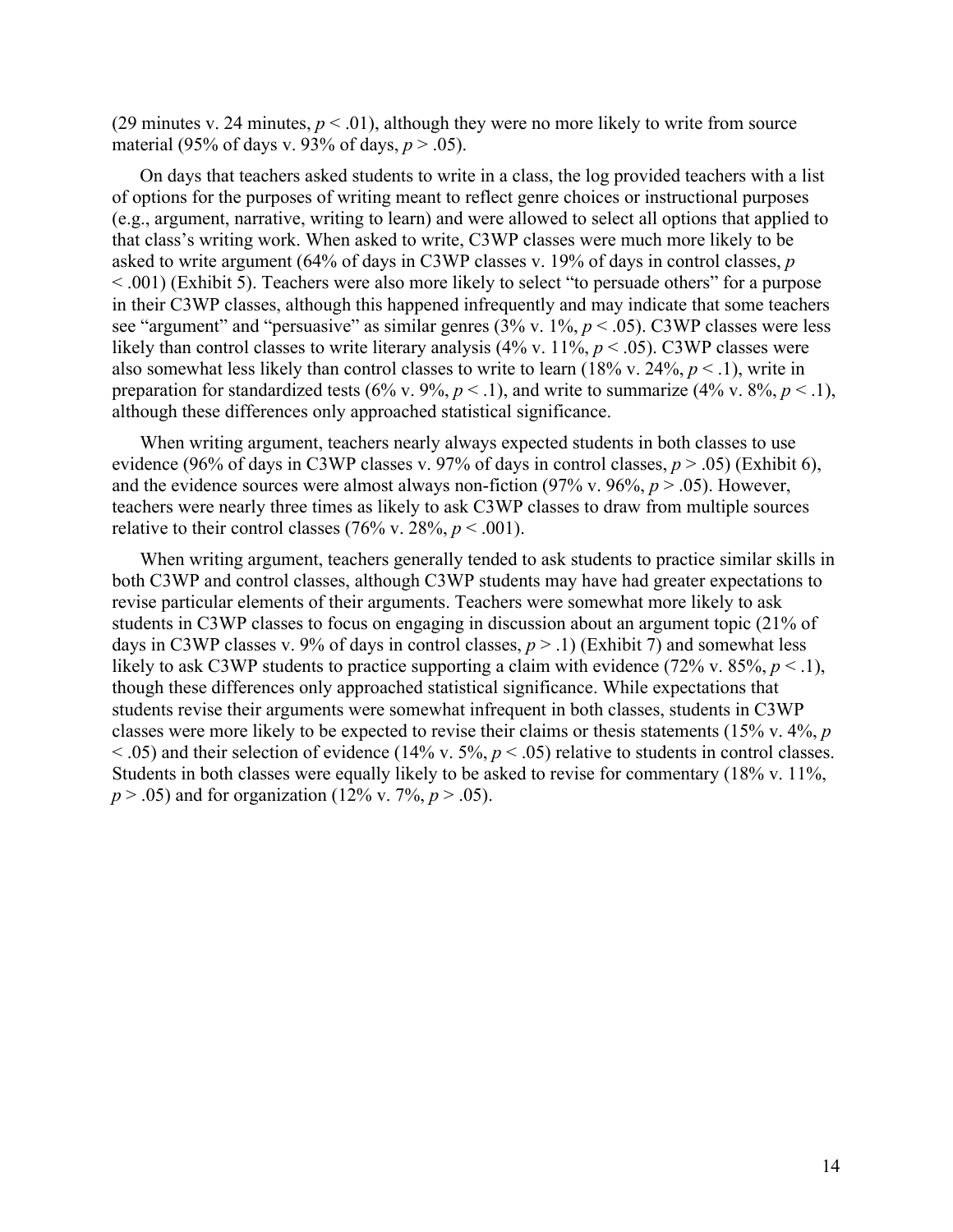(29 minutes v. 24 minutes,  $p < .01$ ), although they were no more likely to write from source material (95% of days v. 93% of days, *p* > .05).

On days that teachers asked students to write in a class, the log provided teachers with a list of options for the purposes of writing meant to reflect genre choices or instructional purposes (e.g., argument, narrative, writing to learn) and were allowed to select all options that applied to that class's writing work. When asked to write, C3WP classes were much more likely to be asked to write argument (64% of days in C3WP classes v. 19% of days in control classes, *p* < .001) (Exhibit 5). Teachers were also more likely to select "to persuade others" for a purpose in their C3WP classes, although this happened infrequently and may indicate that some teachers see "argument" and "persuasive" as similar genres (3% v. 1%, *p* < .05). C3WP classes were less likely than control classes to write literary analysis (4% v. 11%,  $p < .05$ ). C3WP classes were also somewhat less likely than control classes to write to learn (18% v. 24%, *p* < .1), write in preparation for standardized tests (6% v. 9%,  $p < 0.1$ ), and write to summarize (4% v. 8%,  $p < 0.1$ ), although these differences only approached statistical significance.

When writing argument, teachers nearly always expected students in both classes to use evidence (96% of days in C3WP classes v. 97% of days in control classes,  $p > .05$ ) (Exhibit 6), and the evidence sources were almost always non-fiction  $(97\% \text{ v. } 96\%, p > .05)$ . However, teachers were nearly three times as likely to ask C3WP classes to draw from multiple sources relative to their control classes (76% v. 28%,  $p < .001$ ).

When writing argument, teachers generally tended to ask students to practice similar skills in both C3WP and control classes, although C3WP students may have had greater expectations to revise particular elements of their arguments. Teachers were somewhat more likely to ask students in C3WP classes to focus on engaging in discussion about an argument topic (21% of days in C3WP classes v. 9% of days in control classes,  $p > 0.1$  (Exhibit 7) and somewhat less likely to ask C3WP students to practice supporting a claim with evidence (72% v. 85%, *p* < .1), though these differences only approached statistical significance. While expectations that students revise their arguments were somewhat infrequent in both classes, students in C3WP classes were more likely to be expected to revise their claims or thesis statements (15% v. 4%, *p* < .05) and their selection of evidence (14% v. 5%, *p* < .05) relative to students in control classes. Students in both classes were equally likely to be asked to revise for commentary (18% v. 11%, *p* > .05) and for organization (12% v. 7%, *p* > .05).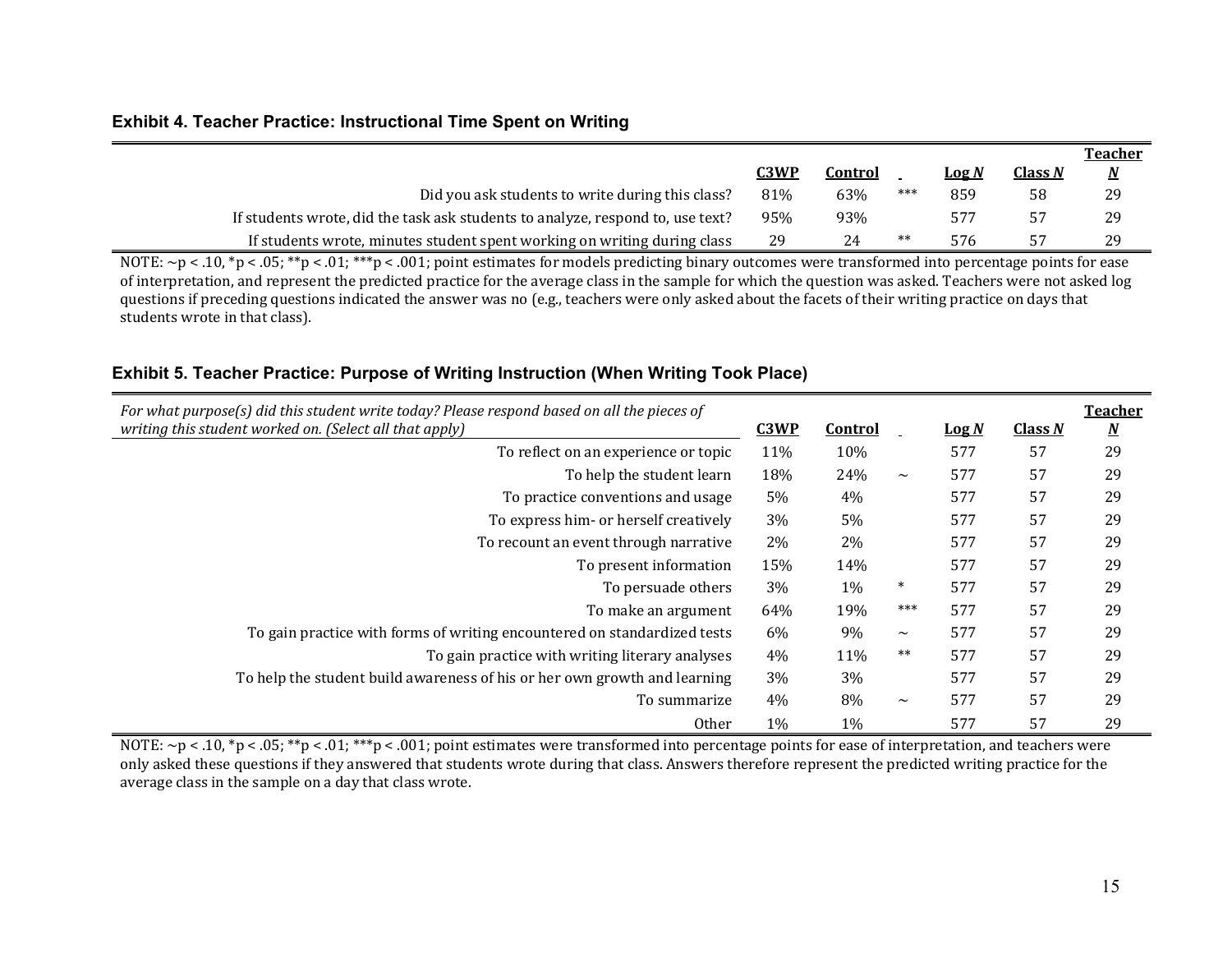#### **Exhibit 4. Teacher Practice: Instructional Time Spent on Writing**

|                                                                                |      |         |     |              |                | <b>Teacher</b>           |
|--------------------------------------------------------------------------------|------|---------|-----|--------------|----------------|--------------------------|
|                                                                                | C3WP | Control |     | <u>Log N</u> | <u>Class N</u> | $\underline{\mathbf{M}}$ |
| Did you ask students to write during this class?                               | 81%  | 63%     | *** | 859          | 58             | 29                       |
| If students wrote, did the task ask students to analyze, respond to, use text? | 95%  | 93%     |     |              | 57             | 29                       |
| If students wrote, minutes student spent working on writing during class       | 29   |         |     | 576          | 57             | 29                       |

NOTE:  $\sim$ p < .10, \*p < .05; \*\*p < .01; \*\*\*p < .001; point estimates for models predicting binary outcomes were transformed into percentage points for ease of interpretation, and represent the predicted practice for the average class in the sample for which the question was asked. Teachers were not asked log questions if preceding questions indicated the answer was no (e.g., teachers were only asked about the facets of their writing practice on days that students wrote in that class).

## **Exhibit 5. Teacher Practice: Purpose of Writing Instruction (When Writing Took Place)**

<span id="page-18-0"></span>

| For what purpose(s) did this student write today? Please respond based on all the pieces of<br>writing this student worked on. (Select all that apply) | C3WP | <u>Control</u> |        | $\log N$ | <b>Class N</b> | <b>Teacher</b><br><u>N</u> |
|--------------------------------------------------------------------------------------------------------------------------------------------------------|------|----------------|--------|----------|----------------|----------------------------|
| To reflect on an experience or topic                                                                                                                   | 11%  | 10%            |        | 577      | 57             | 29                         |
| To help the student learn                                                                                                                              | 18%  | 24%            | $\sim$ | 577      | 57             | 29                         |
| To practice conventions and usage                                                                                                                      | 5%   | 4%             |        | 577      | 57             | 29                         |
| To express him- or herself creatively                                                                                                                  | 3%   | 5%             |        | 577      | 57             | 29                         |
| To recount an event through narrative                                                                                                                  | 2%   | 2%             |        | 577      | 57             | 29                         |
| To present information                                                                                                                                 | 15%  | 14%            |        | 577      | 57             | 29                         |
| To persuade others                                                                                                                                     | 3%   | $1\%$          | $\ast$ | 577      | 57             | 29                         |
| To make an argument                                                                                                                                    | 64%  | 19%            | ***    | 577      | 57             | 29                         |
| To gain practice with forms of writing encountered on standardized tests                                                                               | 6%   | 9%             | $\sim$ | 577      | 57             | 29                         |
| To gain practice with writing literary analyses                                                                                                        | 4%   | 11%            | $**$   | 577      | 57             | 29                         |
| To help the student build awareness of his or her own growth and learning                                                                              | 3%   | 3%             |        | 577      | 57             | 29                         |
| To summarize                                                                                                                                           | 4%   | 8%             | $\sim$ | 577      | 57             | 29                         |
| <b>Other</b>                                                                                                                                           | 1%   | $1\%$          |        | 577      | 57             | 29                         |

<span id="page-18-1"></span>NOTE:  $\sim$ p < .10, \*p < .05; \*\*p < .01; \*\*\*p < .001; point estimates were transformed into percentage points for ease of interpretation, and teachers were only asked these questions if they answered that students wrote during that class. Answers therefore represent the predicted writing practice for the average class in the sample on a day that class wrote.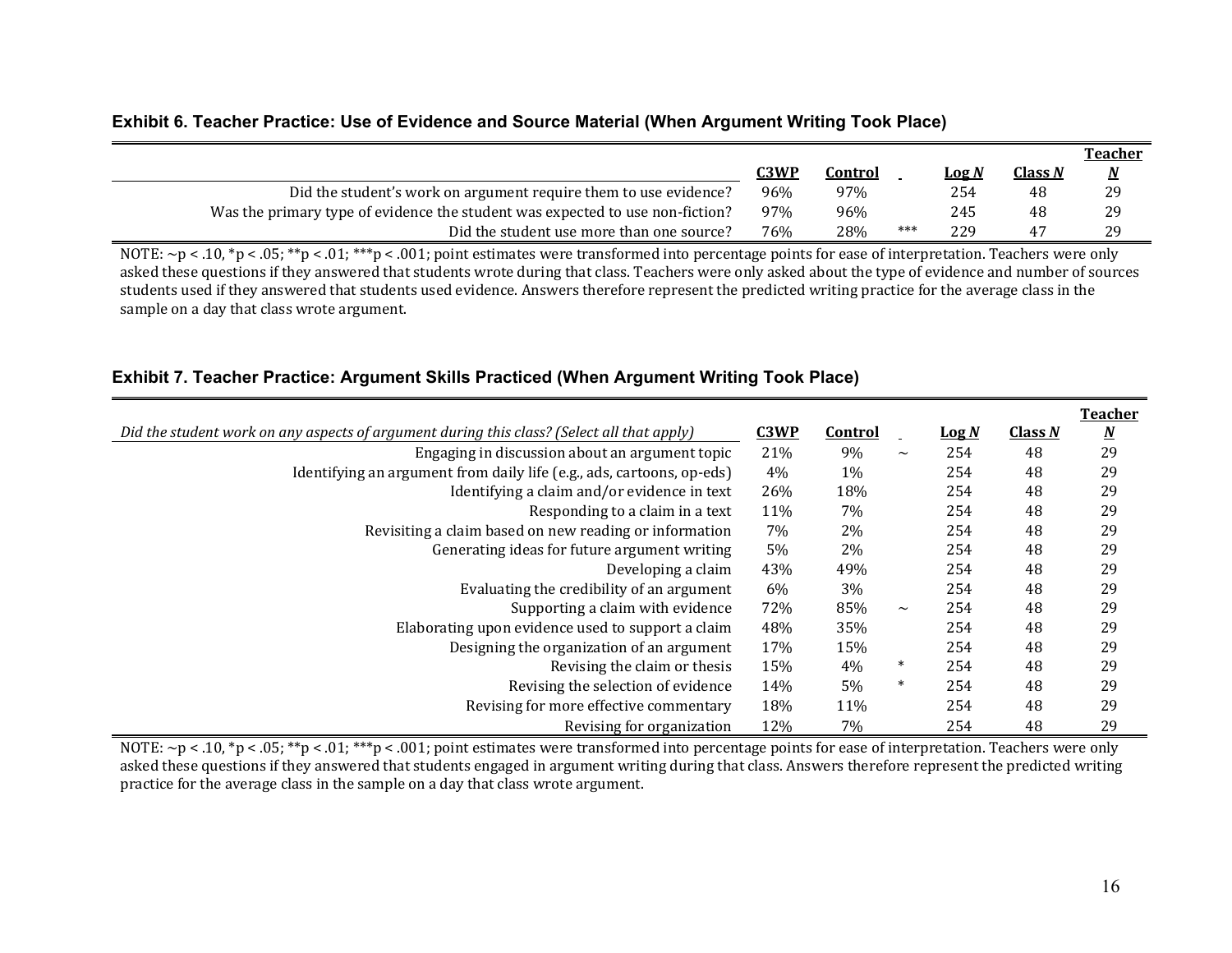#### **Exhibit 6. Teacher Practice: Use of Evidence and Source Material (When Argument Writing Took Place)**

|                                                                               |             |         |     |       |                | <u>Teacher</u>  |
|-------------------------------------------------------------------------------|-------------|---------|-----|-------|----------------|-----------------|
|                                                                               | <u>C3WP</u> | Control |     | Log N | <b>Class N</b> | $\underline{N}$ |
| Did the student's work on argument require them to use evidence?              | 96%         | 97%     |     | 254   | 48             | 29              |
| Was the primary type of evidence the student was expected to use non-fiction? | 97%         | 96%     |     | 245   | 48             | 29              |
| Did the student use more than one source?                                     | 76%         | 28%     | *** | 229   |                | 29              |

NOTE: ~p < .10, \*p < .05; \*\*p < .01; \*\*\*p < .001; point estimates were transformed into percentage points for ease of interpretation. Teachers were only asked these questions if they answered that students wrote during that class. Teachers were only asked about the type of evidence and number of sources students used if they answered that students used evidence. Answers therefore represent the predicted writing practice for the average class in the sample on a day that class wrote argument.

## **Exhibit 7. Teacher Practice: Argument Skills Practiced (When Argument Writing Took Place)**

<span id="page-19-0"></span>

|                                                                                            |      |                |        |          |         | <b>Teacher</b>           |
|--------------------------------------------------------------------------------------------|------|----------------|--------|----------|---------|--------------------------|
| Did the student work on any aspects of argument during this class? (Select all that apply) | C3WP | <b>Control</b> |        | $\log N$ | Class N | $\underline{\mathbf{N}}$ |
| Engaging in discussion about an argument topic                                             | 21%  | 9%             | $\sim$ | 254      | 48      | 29                       |
| Identifying an argument from daily life (e.g., ads, cartoons, op-eds)                      | 4%   | 1%             |        | 254      | 48      | 29                       |
| Identifying a claim and/or evidence in text                                                | 26%  | 18%            |        | 254      | 48      | 29                       |
| Responding to a claim in a text                                                            | 11%  | 7%             |        | 254      | 48      | 29                       |
| Revisiting a claim based on new reading or information                                     | 7%   | 2%             |        | 254      | 48      | 29                       |
| Generating ideas for future argument writing                                               | 5%   | 2%             |        | 254      | 48      | 29                       |
| Developing a claim                                                                         | 43%  | 49%            |        | 254      | 48      | 29                       |
| Evaluating the credibility of an argument                                                  | 6%   | 3%             |        | 254      | 48      | 29                       |
| Supporting a claim with evidence                                                           | 72%  | 85%            | $\sim$ | 254      | 48      | 29                       |
| Elaborating upon evidence used to support a claim                                          | 48%  | 35%            |        | 254      | 48      | 29                       |
| Designing the organization of an argument                                                  | 17%  | 15%            |        | 254      | 48      | 29                       |
| Revising the claim or thesis                                                               | 15%  | 4%             | $\ast$ | 254      | 48      | 29                       |
| Revising the selection of evidence                                                         | 14%  | 5%             | $\ast$ | 254      | 48      | 29                       |
| Revising for more effective commentary                                                     | 18%  | 11%            |        | 254      | 48      | 29                       |
| Revising for organization                                                                  | 12%  | 7%             |        | 254      | 48      | 29                       |

<span id="page-19-1"></span>NOTE: ~p < .10, \*p < .05; \*\*p < .01; \*\*\*p < .001; point estimates were transformed into percentage points for ease of interpretation. Teachers were only asked these questions if they answered that students engaged in argument writing during that class. Answers therefore represent the predicted writing practice for the average class in the sample on a day that class wrote argument.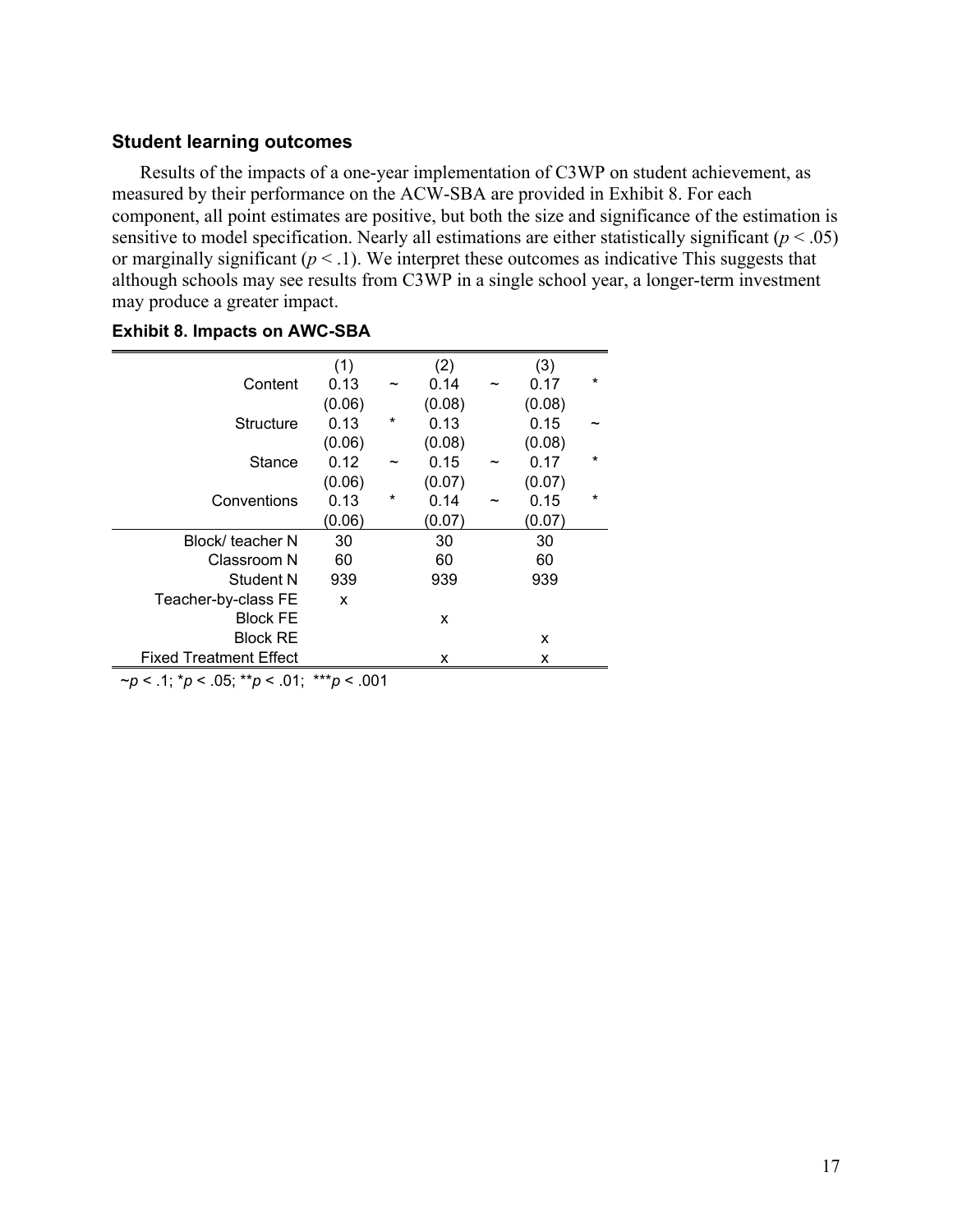#### <span id="page-20-0"></span>**Student learning outcomes**

Results of the impacts of a one-year implementation of C3WP on student achievement, as measured by their performance on the ACW-SBA are provided in Exhibit 8. For each component, all point estimates are positive, but both the size and significance of the estimation is sensitive to model specification. Nearly all estimations are either statistically significant  $(p < .05)$ or marginally significant  $(p < 0.1)$ . We interpret these outcomes as indicative This suggests that although schools may see results from C3WP in a single school year, a longer-term investment may produce a greater impact.

|                               | (1)    |         | (2)    |                       | (3)    |         |
|-------------------------------|--------|---------|--------|-----------------------|--------|---------|
| Content                       | 0.13   |         | 0.14   |                       | 0.17   | $\star$ |
|                               | (0.06) |         | (0.08) |                       | (0.08) |         |
| <b>Structure</b>              | 0.13   | *       | 0.13   |                       | 0.15   |         |
|                               | (0.06) |         | (0.08) |                       | (0.08) |         |
| Stance                        | 0.12   |         | 0.15   |                       | 0.17   | $\ast$  |
|                               | (0.06) |         | (0.07) |                       | (0.07) |         |
| Conventions                   | 0.13   | $\star$ | 0.14   | $\tilde{\phantom{a}}$ | 0.15   | $\star$ |
|                               | (0.06) |         | (0.07) |                       | (0.07) |         |
| Block/ teacher N              | 30     |         | 30     |                       | 30     |         |
| Classroom N                   | 60     |         | 60     |                       | 60     |         |
| Student N                     | 939    |         | 939    |                       | 939    |         |
| Teacher-by-class FE           | X      |         |        |                       |        |         |
| <b>Block FE</b>               |        |         | x      |                       |        |         |
| <b>Block RE</b>               |        |         |        |                       | x      |         |
| <b>Fixed Treatment Effect</b> |        |         | x      |                       | x      |         |

#### <span id="page-20-1"></span>**Exhibit 8. Impacts on AWC-SBA**

~*p* < .1; \**p* < .05; \*\**p* < .01; \*\*\**p* < .001